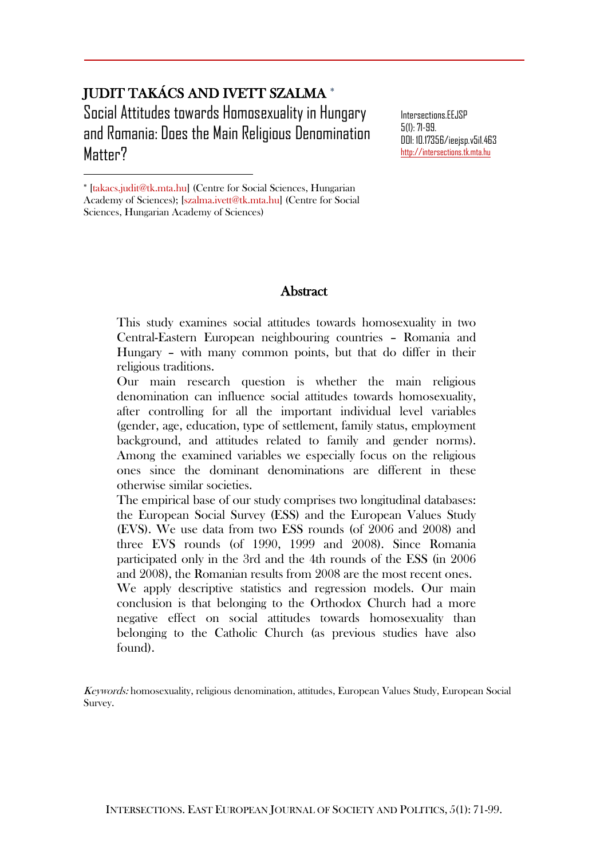# JUDIT TAKÁCS AND IVETT SZALMA Social Attitudes towards Homosexuality in Hungary and Romania: Does the Main Religious Denomination Matter?

Intersections.EEJSP 5(1):71-99. DOI: 10.17356/ieejsp.v5i1.463 [http://intersections.tk.mta.hu](http://intersections.tk.mta.hu/)

\* [takacs.judit@tk.mta.hu] (Centre for Social Sciences, Hungarian

 $\overline{a}$ 

#### **Abstract**

This study examines social attitudes towards homosexuality in two Central-Eastern European neighbouring countries – Romania and Hungary – with many common points, but that do differ in their religious traditions.

Our main research question is whether the main religious denomination can influence social attitudes towards homosexuality, after controlling for all the important individual level variables (gender, age, education, type of settlement, family status, employment background, and attitudes related to family and gender norms). Among the examined variables we especially focus on the religious ones since the dominant denominations are different in these otherwise similar societies.

The empirical base of our study comprises two longitudinal databases: the European Social Survey (ESS) and the European Values Study (EVS). We use data from two ESS rounds (of 2006 and 2008) and three EVS rounds (of 1990, 1999 and 2008). Since Romania participated only in the 3rd and the 4th rounds of the ESS (in 2006 and 2008), the Romanian results from 2008 are the most recent ones. We apply descriptive statistics and regression models. Our main conclusion is that belonging to the Orthodox Church had a more negative effect on social attitudes towards homosexuality than belonging to the Catholic Church (as previous studies have also found).

Keywords: homosexuality, religious denomination, attitudes, European Values Study, European Social Survey.

Academy of Sciences); [szalma.ivett@tk.mta.hu] (Centre for Social Sciences, Hungarian Academy of Sciences)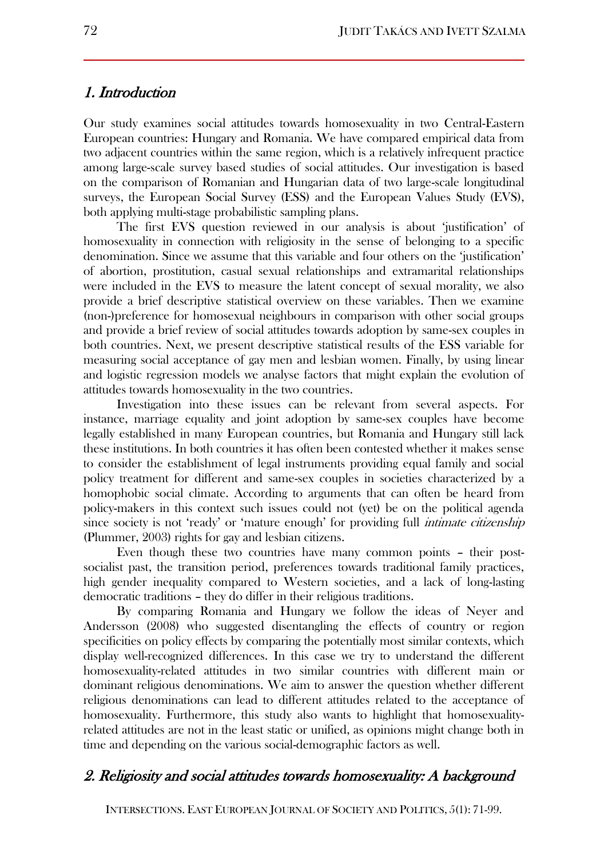#### 1. Introduction

Our study examines social attitudes towards homosexuality in two Central-Eastern European countries: Hungary and Romania. We have compared empirical data from two adjacent countries within the same region, which is a relatively infrequent practice among large-scale survey based studies of social attitudes. Our investigation is based on the comparison of Romanian and Hungarian data of two large-scale longitudinal surveys, the European Social Survey (ESS) and the European Values Study (EVS), both applying multi-stage probabilistic sampling plans.

The first EVS question reviewed in our analysis is about 'justification' of homosexuality in connection with religiosity in the sense of belonging to a specific denomination. Since we assume that this variable and four others on the 'justification' of abortion, prostitution, casual sexual relationships and extramarital relationships were included in the EVS to measure the latent concept of sexual morality, we also provide a brief descriptive statistical overview on these variables. Then we examine (non-)preference for homosexual neighbours in comparison with other social groups and provide a brief review of social attitudes towards adoption by same-sex couples in both countries. Next, we present descriptive statistical results of the ESS variable for measuring social acceptance of gay men and lesbian women. Finally, by using linear and logistic regression models we analyse factors that might explain the evolution of attitudes towards homosexuality in the two countries.

Investigation into these issues can be relevant from several aspects. For instance, marriage equality and joint adoption by same-sex couples have become legally established in many European countries, but Romania and Hungary still lack these institutions. In both countries it has often been contested whether it makes sense to consider the establishment of legal instruments providing equal family and social policy treatment for different and same-sex couples in societies characterized by a homophobic social climate. According to arguments that can often be heard from policy-makers in this context such issues could not (yet) be on the political agenda since society is not 'ready' or 'mature enough' for providing full *intimate citizenship* (Plummer, 2003) rights for gay and lesbian citizens.

Even though these two countries have many common points – their postsocialist past, the transition period, preferences towards traditional family practices, high gender inequality compared to Western societies, and a lack of long-lasting democratic traditions – they do differ in their religious traditions.

By comparing Romania and Hungary we follow the ideas of Neyer and Andersson (2008) who suggested disentangling the effects of country or region specificities on policy effects by comparing the potentially most similar contexts, which display well-recognized differences. In this case we try to understand the different homosexuality-related attitudes in two similar countries with different main or dominant religious denominations. We aim to answer the question whether different religious denominations can lead to different attitudes related to the acceptance of homosexuality. Furthermore, this study also wants to highlight that homosexualityrelated attitudes are not in the least static or unified, as opinions might change both in time and depending on the various social-demographic factors as well.

## 2. Religiosity and social attitudes towards homosexuality: A background

INTERSECTIONS. EAST EUROPEAN JOURNAL OF SOCIETY AND POLITICS, 5(1): 71-99.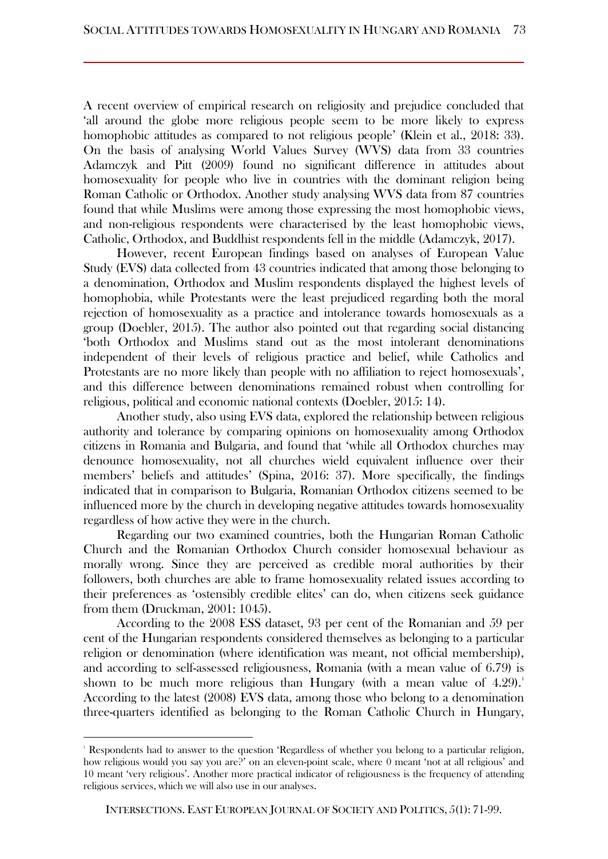A recent overview of empirical research on religiosity and prejudice concluded that 'all around the globe more religious people seem to be more likely to express homophobic attitudes as compared to not religious people' (Klein et al., 2018: 33). On the basis of analysing World Values Survey (WVS) data from 33 countries Adamczyk and Pitt (2009) found no significant difference in attitudes about homosexuality for people who live in countries with the dominant religion being Roman Catholic or Orthodox. Another study analysing WVS data from 87 countries found that while Muslims were among those expressing the most homophobic views, and non-religious respondents were characterised by the least homophobic views, Catholic, Orthodox, and Buddhist respondents fell in the middle (Adamczyk, 2017).

However, recent European findings based on analyses of European Value Study (EVS) data collected from 43 countries indicated that among those belonging to a denomination, Orthodox and Muslim respondents displayed the highest levels of homophobia, while Protestants were the least prejudiced regarding both the moral rejection of homosexuality as a practice and intolerance towards homosexuals as a group (Doebler, 2015). The author also pointed out that regarding social distancing 'both Orthodox and Muslims stand out as the most intolerant denominations independent of their levels of religious practice and belief, while Catholics and Protestants are no more likely than people with no affiliation to reject homosexuals', and this difference between denominations remained robust when controlling for religious, political and economic national contexts (Doebler, 2015: 14).

Another study, also using EVS data, explored the relationship between religious authority and tolerance by comparing opinions on homosexuality among Orthodox citizens in Romania and Bulgaria, and found that 'while all Orthodox churches may denounce homosexuality, not all churches wield equivalent influence over their members' beliefs and attitudes' (Spina, 2016: 37). More specifically, the findings indicated that in comparison to Bulgaria, Romanian Orthodox citizens seemed to be influenced more by the church in developing negative attitudes towards homosexuality regardless of how active they were in the church.

Regarding our two examined countries, both the Hungarian Roman Catholic Church and the Romanian Orthodox Church consider homosexual behaviour as morally wrong. Since they are perceived as credible moral authorities by their followers, both churches are able to frame homosexuality related issues according to their preferences as 'ostensibly credible elites' can do, when citizens seek guidance from them (Druckman, 2001: 1045).

According to the 2008 ESS dataset, 93 per cent of the Romanian and 59 per cent of the Hungarian respondents considered themselves as belonging to a particular religion or denomination (where identification was meant, not official membership), and according to self-assessed religiousness, Romania (with a mean value of 6.79) is shown to be much more religious than Hungary (with a mean value of  $4.29$ ).<sup>1</sup> According to the latest (2008) EVS data, among those who belong to a denomination three-quarters identified as belonging to the Roman Catholic Church in Hungary,

<sup>&</sup>lt;sup>1</sup> Respondents had to answer to the question 'Regardless of whether you belong to a particular religion, how religious would you say you are?' on an eleven-point scale, where 0 meant 'not at all religious' and 10 meant 'very religious'. Another more practical indicator of religiousness is the frequency of attending religious services, which we will also use in our analyses.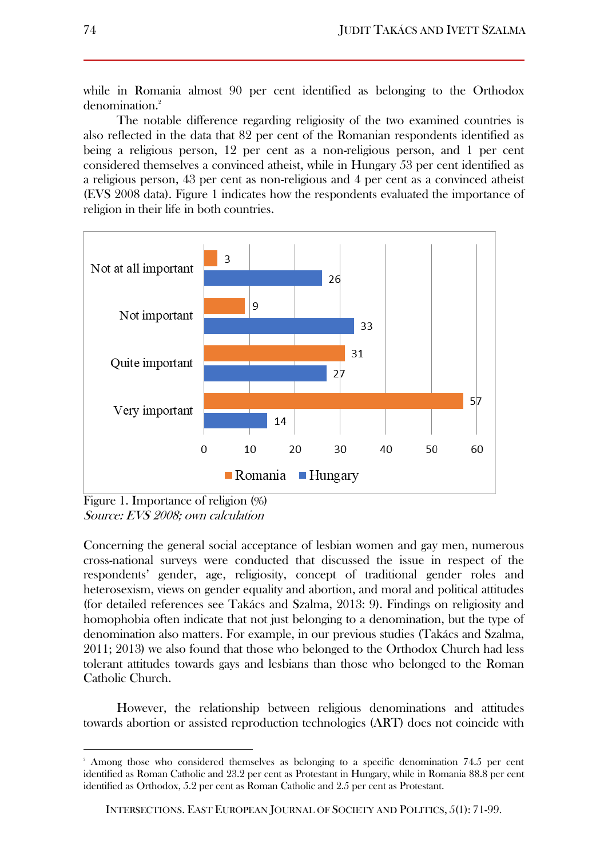while in Romania almost 90 per cent identified as belonging to the Orthodox denomination.<sup>2</sup>

The notable difference regarding religiosity of the two examined countries is also reflected in the data that 82 per cent of the Romanian respondents identified as being a religious person, 12 per cent as a non-religious person, and 1 per cent considered themselves a convinced atheist, while in Hungary 53 per cent identified as a religious person, 43 per cent as non-religious and 4 per cent as a convinced atheist (EVS 2008 data). Figure 1 indicates how the respondents evaluated the importance of religion in their life in both countries.



Figure 1. Importance of religion (%) Source: EVS 2008; own calculation

 $\overline{a}$ 

Concerning the general social acceptance of lesbian women and gay men, numerous cross-national surveys were conducted that discussed the issue in respect of the respondents' gender, age, religiosity, concept of traditional gender roles and heterosexism, views on gender equality and abortion, and moral and political attitudes (for detailed references see Takács and Szalma, 2013: 9). Findings on religiosity and homophobia often indicate that not just belonging to a denomination, but the type of denomination also matters. For example, in our previous studies (Takács and Szalma, 2011; 2013) we also found that those who belonged to the Orthodox Church had less tolerant attitudes towards gays and lesbians than those who belonged to the Roman Catholic Church.

However, the relationship between religious denominations and attitudes towards abortion or assisted reproduction technologies (ART) does not coincide with

<sup>2</sup> Among those who considered themselves as belonging to a specific denomination 74.5 per cent identified as Roman Catholic and 23.2 per cent as Protestant in Hungary, while in Romania 88.8 per cent identified as Orthodox, 5.2 per cent as Roman Catholic and 2.5 per cent as Protestant.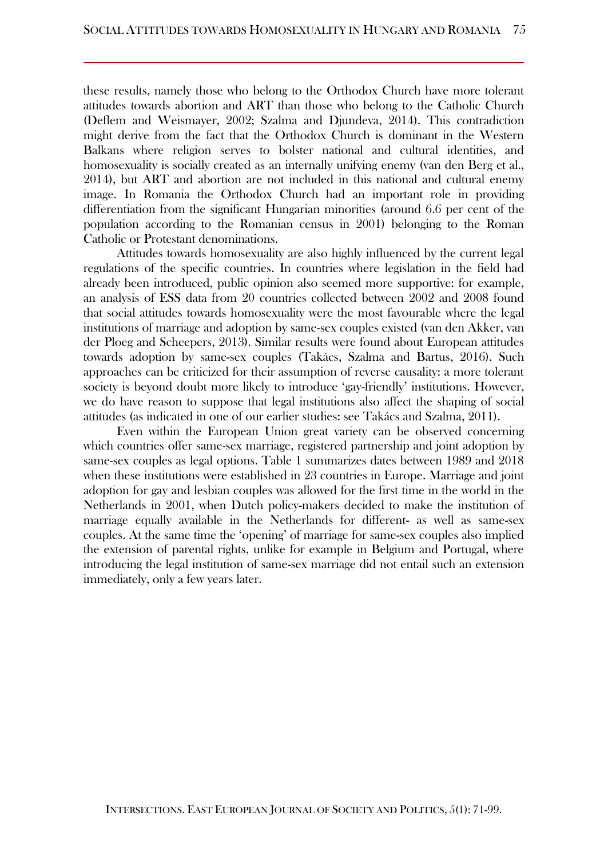these results, namely those who belong to the Orthodox Church have more tolerant attitudes towards abortion and ART than those who belong to the Catholic Church (Deflem and Weismayer, 2002; Szalma and Djundeva, 2014). This contradiction might derive from the fact that the Orthodox Church is dominant in the Western Balkans where religion serves to bolster national and cultural identities, and homosexuality is socially created as an internally unifying enemy (van den Berg et al., 2014), but ART and abortion are not included in this national and cultural enemy image. In Romania the Orthodox Church had an important role in providing differentiation from the significant Hungarian minorities (around 6.6 per cent of the population according to the Romanian census in 2001) belonging to the Roman Catholic or Protestant denominations.

Attitudes towards homosexuality are also highly influenced by the current legal regulations of the specific countries. In countries where legislation in the field had already been introduced, public opinion also seemed more supportive: for example, an analysis of ESS data from 20 countries collected between 2002 and 2008 found that social attitudes towards homosexuality were the most favourable where the legal institutions of marriage and adoption by same-sex couples existed (van den Akker, van der Ploeg and Scheepers, 2013). Similar results were found about European attitudes towards adoption by same-sex couples (Takács, Szalma and Bartus, 2016). Such approaches can be criticized for their assumption of reverse causality: a more tolerant society is beyond doubt more likely to introduce 'gay-friendly' institutions. However, we do have reason to suppose that legal institutions also affect the shaping of social attitudes (as indicated in one of our earlier studies: see Takács and Szalma, 2011).

Even within the European Union great variety can be observed concerning which countries offer same-sex marriage, registered partnership and joint adoption by same-sex couples as legal options. Table 1 summarizes dates between 1989 and 2018 when these institutions were established in 23 countries in Europe. Marriage and joint adoption for gay and lesbian couples was allowed for the first time in the world in the Netherlands in 2001, when Dutch policy-makers decided to make the institution of marriage equally available in the Netherlands for different- as well as same-sex couples. At the same time the 'opening' of marriage for same-sex couples also implied the extension of parental rights, unlike for example in Belgium and Portugal, where introducing the legal institution of same-sex marriage did not entail such an extension immediately, only a few years later.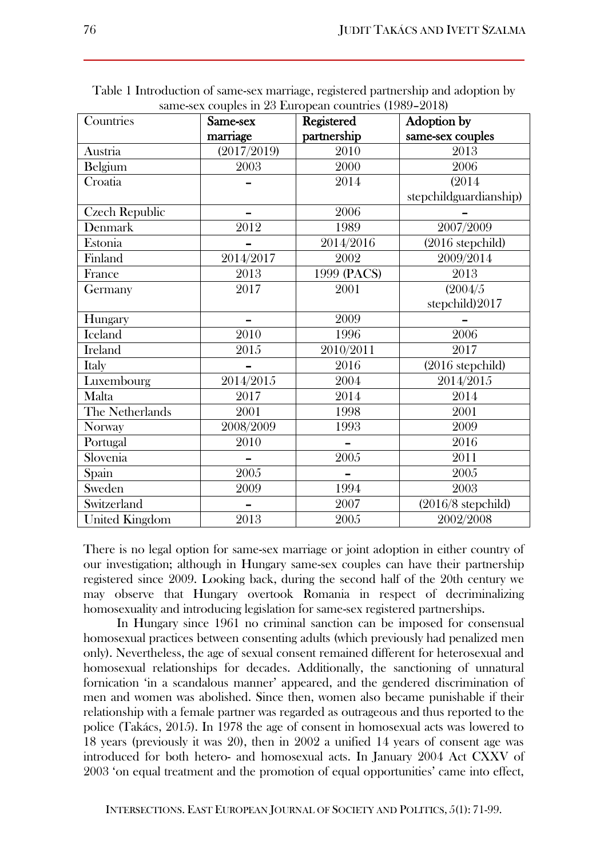| Countries             | Same-sex    | same-sex couples in 20 European countries (1909–2010)<br><b>Registered</b> | Adoption by            |
|-----------------------|-------------|----------------------------------------------------------------------------|------------------------|
|                       | marriage    | partnership                                                                | same-sex couples       |
| Austria               | (2017/2019) | 2010                                                                       | 2013                   |
| Belgium               | 2003        | 2000                                                                       | 2006                   |
| Croatia               |             | 2014                                                                       | (2014)                 |
|                       |             |                                                                            | stepchildguardianship) |
| Czech Republic        | -           | 2006                                                                       |                        |
| Denmark               | 2012        | 1989                                                                       | 2007/2009              |
| Estonia               |             | 2014/2016                                                                  | $(2016$ stepchild)     |
| Finland               | 2014/2017   | 2002                                                                       | 2009/2014              |
| France                | 2013        | 1999 (PACS)                                                                | 2013                   |
| Germany               | 2017        | 2001                                                                       | (2004/5)               |
|                       |             |                                                                            | stepchild)2017         |
| Hungary               |             | 2009                                                                       |                        |
| <b>Iceland</b>        | 2010        | 1996                                                                       | 2006                   |
| <b>Ireland</b>        | 2015        | 2010/2011                                                                  | 2017                   |
| Italy                 |             | 2016                                                                       | (2016 stepchild)       |
| Luxembourg            | 2014/2015   | 2004                                                                       | 2014/2015              |
| Malta                 | 2017        | 2014                                                                       | 2014                   |
| The Netherlands       | 2001        | $1\overline{998}$                                                          | $\overline{2001}$      |
| Norway                | 2008/2009   | 1993                                                                       | 2009                   |
| Portugal              | 2010        |                                                                            | 2016                   |
| Slovenia              |             | 2005                                                                       | 2011                   |
| Spain                 | 2005        |                                                                            | 2005                   |
| Sweden                | 2009        | 1994                                                                       | 2003                   |
| Switzerland           |             | 2007                                                                       | $(2016/8$ stepchild)   |
| <b>United Kingdom</b> | 2013        | 2005                                                                       | 2002/2008              |

Table 1 Introduction of same-sex marriage, registered partnership and adoption by same-sex couples in 23 European countries (1989–2018)

There is no legal option for same-sex marriage or joint adoption in either country of our investigation; although in Hungary same-sex couples can have their partnership registered since 2009. Looking back, during the second half of the 20th century we may observe that Hungary overtook Romania in respect of decriminalizing homosexuality and introducing legislation for same-sex registered partnerships.

In Hungary since 1961 no criminal sanction can be imposed for consensual homosexual practices between consenting adults (which previously had penalized men only). Nevertheless, the age of sexual consent remained different for heterosexual and homosexual relationships for decades. Additionally, the sanctioning of unnatural fornication 'in a scandalous manner' appeared, and the gendered discrimination of men and women was abolished. Since then, women also became punishable if their relationship with a female partner was regarded as outrageous and thus reported to the police (Takács, 2015). In 1978 the age of consent in homosexual acts was lowered to 18 years (previously it was 20), then in 2002 a unified 14 years of consent age was introduced for both hetero- and homosexual acts. In January 2004 Act CXXV of 2003 'on equal treatment and the promotion of equal opportunities' came into effect,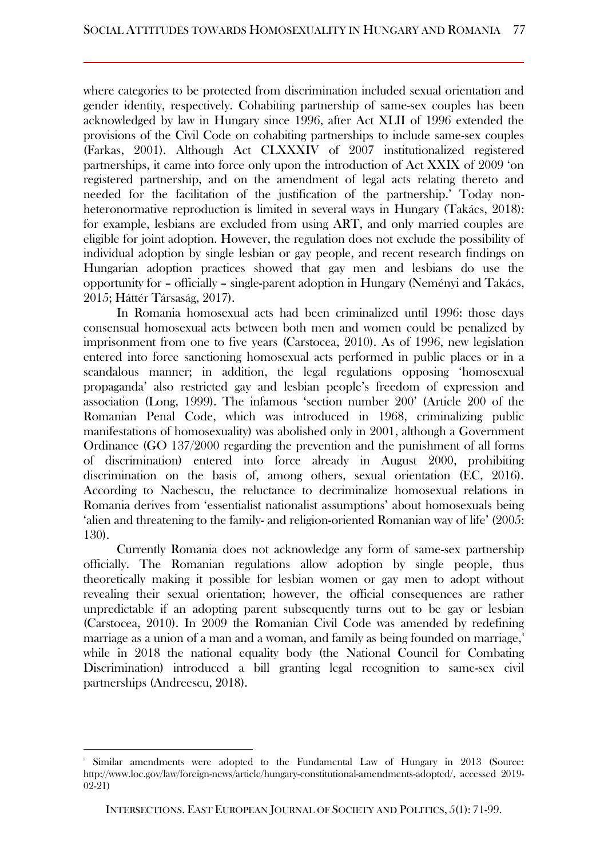where categories to be protected from discrimination included sexual orientation and gender identity, respectively. Cohabiting partnership of same-sex couples has been acknowledged by law in Hungary since 1996, after Act XLII of 1996 extended the provisions of the Civil Code on cohabiting partnerships to include same-sex couples (Farkas, 2001). Although Act CLXXXIV of 2007 institutionalized registered partnerships, it came into force only upon the introduction of Act XXIX of 2009 'on registered partnership, and on the amendment of legal acts relating thereto and needed for the facilitation of the justification of the partnership.' Today nonheteronormative reproduction is limited in several ways in Hungary (Takács, 2018): for example, lesbians are excluded from using ART, and only married couples are eligible for joint adoption. However, the regulation does not exclude the possibility of individual adoption by single lesbian or gay people, and recent research findings on Hungarian adoption practices showed that gay men and lesbians do use the opportunity for – officially – single-parent adoption in Hungary (Neményi and Takács, 2015; Háttér Társaság, 2017).

In Romania homosexual acts had been criminalized until 1996: those days consensual homosexual acts between both men and women could be penalized by imprisonment from one to five years (Carstocea, 2010). As of 1996, new legislation entered into force sanctioning homosexual acts performed in public places or in a scandalous manner; in addition, the legal regulations opposing 'homosexual propaganda' also restricted gay and lesbian people's freedom of expression and association (Long, 1999). The infamous 'section number 200' (Article 200 of the Romanian Penal Code, which was introduced in 1968, criminalizing public manifestations of homosexuality) was abolished only in 2001, although a Government Ordinance (GO 137/2000 regarding the prevention and the punishment of all forms of discrimination) entered into force already in August 2000, prohibiting discrimination on the basis of, among others, sexual orientation (EC, 2016). According to Nachescu, the reluctance to decriminalize homosexual relations in Romania derives from 'essentialist nationalist assumptions' about homosexuals being 'alien and threatening to the family- and religion-oriented Romanian way of life' (2005: 130).

Currently Romania does not acknowledge any form of same-sex partnership officially. The Romanian regulations allow adoption by single people, thus theoretically making it possible for lesbian women or gay men to adopt without revealing their sexual orientation; however, the official consequences are rather unpredictable if an adopting parent subsequently turns out to be gay or lesbian (Carstocea, 2010). In 2009 the Romanian Civil Code was amended by redefining marriage as a union of a man and a woman, and family as being founded on marriage, $3$ while in 2018 the national equality body (the National Council for Combating Discrimination) introduced a bill granting legal recognition to same-sex civil partnerships (Andreescu, 2018).

<sup>3</sup> Similar amendments were adopted to the Fundamental Law of Hungary in 2013 (Source: [http://www.loc.gov/law/foreign-news/article/hungary-constitutional-amendments-adopted/,](http://www.loc.gov/law/foreign-news/article/hungary-constitutional-amendments-adopted/) accessed 2019- 02-21)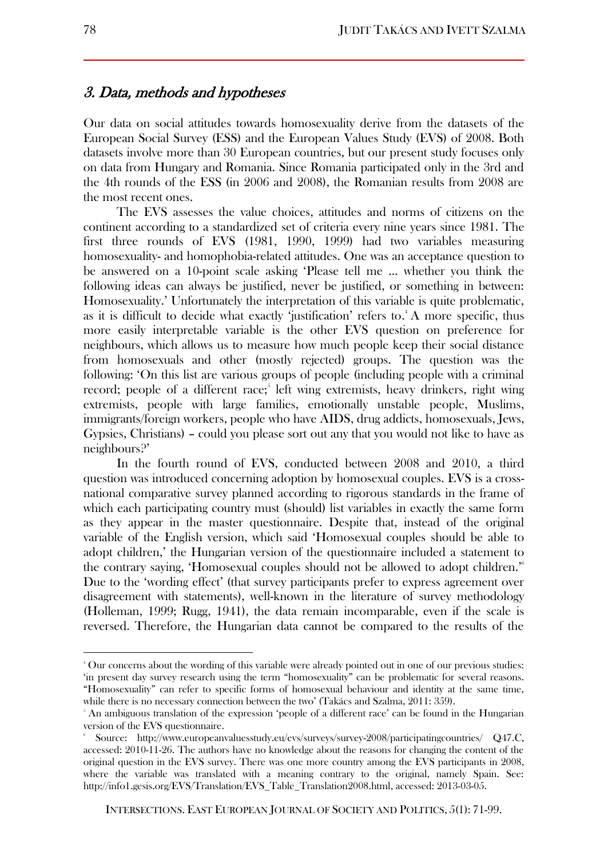## 3. Data, methods and hypotheses

Our data on social attitudes towards homosexuality derive from the datasets of the European Social Survey (ESS) and the European Values Study (EVS) of 2008. Both datasets involve more than 30 European countries, but our present study focuses only on data from Hungary and Romania. Since Romania participated only in the 3rd and the 4th rounds of the ESS (in 2006 and 2008), the Romanian results from 2008 are the most recent ones.

The EVS assesses the value choices, attitudes and norms of citizens on the continent according to a standardized set of criteria every nine years since 1981. The first three rounds of EVS (1981, 1990, 1999) had two variables measuring homosexuality- and homophobia-related attitudes. One was an acceptance question to be answered on a 10-point scale asking 'Please tell me … whether you think the following ideas can always be justified, never be justified, or something in between: Homosexuality.' Unfortunately the interpretation of this variable is quite problematic, as it is difficult to decide what exactly 'justification' refers to.<sup>4</sup> A more specific, thus more easily interpretable variable is the other EVS question on preference for neighbours, which allows us to measure how much people keep their social distance from homosexuals and other (mostly rejected) groups. The question was the following: 'On this list are various groups of people (including people with a criminal record; people of a different race;<sup>5</sup> left wing extremists, heavy drinkers, right wing extremists, people with large families, emotionally unstable people, Muslims, immigrants/foreign workers, people who have AIDS, drug addicts, homosexuals, Jews, Gypsies, Christians) – could you please sort out any that you would not like to have as neighbours?'

In the fourth round of EVS, conducted between 2008 and 2010, a third question was introduced concerning adoption by homosexual couples. EVS is a crossnational comparative survey planned according to rigorous standards in the frame of which each participating country must (should) list variables in exactly the same form as they appear in the master questionnaire. Despite that, instead of the original variable of the English version, which said 'Homosexual couples should be able to adopt children,' the Hungarian version of the questionnaire included a statement to the contrary saying, 'Homosexual couples should not be allowed to adopt children.'<sup>6</sup> Due to the 'wording effect' (that survey participants prefer to express agreement over disagreement with statements), well-known in the literature of survey methodology (Holleman, 1999; Rugg, 1941), the data remain incomparable, even if the scale is reversed. Therefore, the Hungarian data cannot be compared to the results of the

<sup>4</sup> Our concerns about the wording of this variable were already pointed out in one of our previous studies: 'in present day survey research using the term "homosexuality" can be problematic for several reasons. "Homosexuality" can refer to specific forms of homosexual behaviour and identity at the same time, while there is no necessary connection between the two' (Takács and Szalma, 2011: 359).

<sup>5</sup> An ambiguous translation of the expression 'people of a different race' can be found in the Hungarian version of the EVS questionnaire.

<sup>6</sup> Source: <http://www.europeanvaluesstudy.eu/evs/surveys/survey-2008/participatingcountries/> Q47.C, accessed: 2010-11-26. The authors have no knowledge about the reasons for changing the content of the original question in the EVS survey. There was one more country among the EVS participants in 2008, where the variable was translated with a meaning contrary to the original, namely Spain. See: [http://info1.gesis.org/EVS/Translation/EVS\\_Table\\_Translation2008.html,](http://info1.gesis.org/EVS/Translation/EVS_Table_Translation2008.html) accessed: 2013-03-05.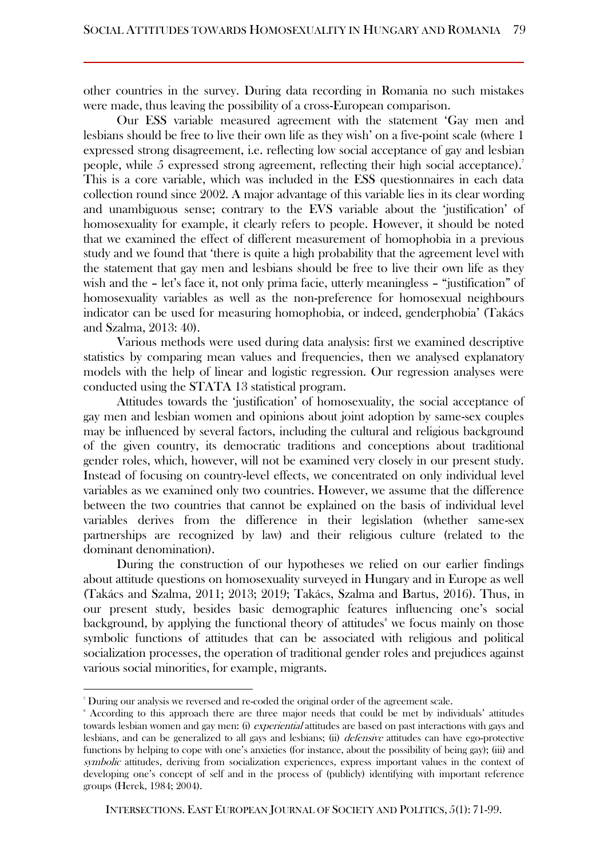other countries in the survey. During data recording in Romania no such mistakes were made, thus leaving the possibility of a cross-European comparison.

Our ESS variable measured agreement with the statement 'Gay men and lesbians should be free to live their own life as they wish' on a five-point scale (where 1 expressed strong disagreement, i.e. reflecting low social acceptance of gay and lesbian people, while 5 expressed strong agreement, reflecting their high social acceptance).<sup>7</sup> This is a core variable, which was included in the ESS questionnaires in each data collection round since 2002. A major advantage of this variable lies in its clear wording and unambiguous sense; contrary to the EVS variable about the 'justification' of homosexuality for example, it clearly refers to people. However, it should be noted that we examined the effect of different measurement of homophobia in a previous study and we found that 'there is quite a high probability that the agreement level with the statement that gay men and lesbians should be free to live their own life as they wish and the – let's face it, not only prima facie, utterly meaningless – "justification" of homosexuality variables as well as the non-preference for homosexual neighbours indicator can be used for measuring homophobia, or indeed, genderphobia' (Takács and Szalma, 2013: 40).

Various methods were used during data analysis: first we examined descriptive statistics by comparing mean values and frequencies, then we analysed explanatory models with the help of linear and logistic regression. Our regression analyses were conducted using the STATA 13 statistical program.

Attitudes towards the 'justification' of homosexuality, the social acceptance of gay men and lesbian women and opinions about joint adoption by same-sex couples may be influenced by several factors, including the cultural and religious background of the given country, its democratic traditions and conceptions about traditional gender roles, which, however, will not be examined very closely in our present study. Instead of focusing on country-level effects, we concentrated on only individual level variables as we examined only two countries. However, we assume that the difference between the two countries that cannot be explained on the basis of individual level variables derives from the difference in their legislation (whether same-sex partnerships are recognized by law) and their religious culture (related to the dominant denomination).

During the construction of our hypotheses we relied on our earlier findings about attitude questions on homosexuality surveyed in Hungary and in Europe as well (Takács and Szalma, 2011; 2013; 2019; Takács, Szalma and Bartus, 2016). Thus, in our present study, besides basic demographic features influencing one's social background, by applying the functional theory of attitudes<sup>8</sup> we focus mainly on those symbolic functions of attitudes that can be associated with religious and political socialization processes, the operation of traditional gender roles and prejudices against various social minorities, for example, migrants.

<sup>7</sup> During our analysis we reversed and re-coded the original order of the agreement scale.

<sup>8</sup> According to this approach there are three major needs that could be met by individuals' attitudes towards lesbian women and gay men: (i) *experiential* attitudes are based on past interactions with gays and lesbians, and can be generalized to all gays and lesbians; (ii) defensive attitudes can have ego-protective functions by helping to cope with one's anxieties (for instance, about the possibility of being gay); (iii) and symbolic attitudes, deriving from socialization experiences, express important values in the context of developing one's concept of self and in the process of (publicly) identifying with important reference groups (Herek, 1984; 2004).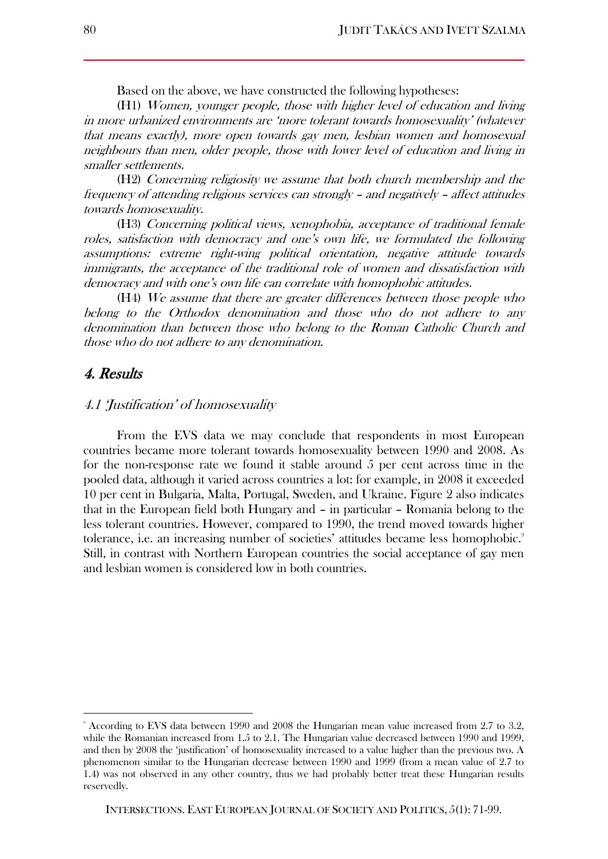Based on the above, we have constructed the following hypotheses:

(H1) Women, younger people, those with higher level of education and living in more urbanized environments are 'more tolerant towards homosexuality' (whatever that means exactly), more open towards gay men, lesbian women and homosexual neighbours than men, older people, those with lower level of education and living in smaller settlements.

(H2) Concerning religiosity we assume that both church membership and the frequency of attending religious services can strongly – and negatively – affect attitudes towards homosexuality.

(H3) Concerning political views, xenophobia, acceptance of traditional female roles, satisfaction with democracy and one's own life, we formulated the following assumptions: extreme right-wing political orientation, negative attitude towards immigrants, the acceptance of the traditional role of women and dissatisfaction with democracy and with one's own life can correlate with homophobic attitudes.

(H4) We assume that there are greater differences between those people who belong to the Orthodox denomination and those who do not adhere to any denomination than between those who belong to the Roman Catholic Church and those who do not adhere to any denomination.

#### 4. Results

 $\overline{a}$ 

#### 4.1 'Justification' of homosexuality

From the EVS data we may conclude that respondents in most European countries became more tolerant towards homosexuality between 1990 and 2008. As for the non-response rate we found it stable around 5 per cent across time in the pooled data, although it varied across countries a lot: for example, in 2008 it exceeded 10 per cent in Bulgaria, Malta, Portugal, Sweden, and Ukraine. Figure 2 also indicates that in the European field both Hungary and – in particular – Romania belong to the less tolerant countries. However, compared to 1990, the trend moved towards higher tolerance, i.e. an increasing number of societies' attitudes became less homophobic.<sup>9</sup> Still, in contrast with Northern European countries the social acceptance of gay men and lesbian women is considered low in both countries.

<sup>9</sup> According to EVS data between 1990 and 2008 the Hungarian mean value increased from 2.7 to 3.2, while the Romanian increased from 1.5 to 2.1. The Hungarian value decreased between 1990 and 1999, and then by 2008 the 'justification' of homosexuality increased to a value higher than the previous two. A phenomenon similar to the Hungarian decrease between 1990 and 1999 (from a mean value of 2.7 to 1.4) was not observed in any other country, thus we had probably better treat these Hungarian results reservedly.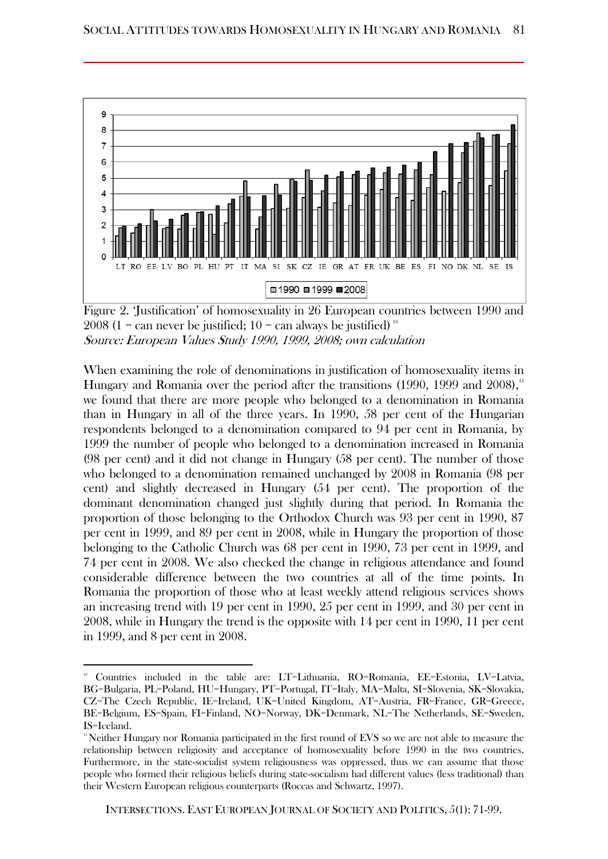

Figure 2. 'Justification' of homosexuality in 26 European countries between 1990 and 2008 (1 = can never be justified; 10 = can always be justified)<sup>10</sup> Source: European Values Study 1990, 1999, 2008; own calculation

When examining the role of denominations in justification of homosexuality items in Hungary and Romania over the period after the transitions  $(1990, 1999, 1900)$ we found that there are more people who belonged to a denomination in Romania than in Hungary in all of the three years. In 1990, 58 per cent of the Hungarian respondents belonged to a denomination compared to 94 per cent in Romania, by 1999 the number of people who belonged to a denomination increased in Romania (98 per cent) and it did not change in Hungary (58 per cent). The number of those who belonged to a denomination remained unchanged by 2008 in Romania (98 per cent) and slightly decreased in Hungary (54 per cent). The proportion of the dominant denomination changed just slightly during that period. In Romania the proportion of those belonging to the Orthodox Church was 93 per cent in 1990, 87 per cent in 1999, and 89 per cent in 2008, while in Hungary the proportion of those belonging to the Catholic Church was 68 per cent in 1990, 73 per cent in 1999, and 74 per cent in 2008. We also checked the change in religious attendance and found considerable difference between the two countries at all of the time points. In Romania the proportion of those who at least weekly attend religious services shows an increasing trend with 19 per cent in 1990, 25 per cent in 1999, and 30 per cent in 2008, while in Hungary the trend is the opposite with 14 per cent in 1990, 11 per cent in 1999, and 8 per cent in 2008.

<sup>10</sup> Countries included in the table are: LT=Lithuania, RO=Romania, EE=Estonia, LV=Latvia, BG=Bulgaria, PL=Poland, HU=Hungary, PT=Portugal, IT=Italy, MA=Malta, SI=Slovenia, SK=Slovakia, CZ=The Czech Republic, IE=Ireland, UK=United Kingdom, AT=Austria, FR=France, GR=Greece, BE=Belgium, ES=Spain, FI=Finland, NO=Norway, DK=Denmark, NL=The Netherlands, SE=Sweden, IS=Iceland.

<sup>11</sup>Neither Hungary nor Romania participated in the first round of EVS so we are not able to measure the relationship between religiosity and acceptance of homosexuality before 1990 in the two countries. Furthermore, in the state-socialist system religiousness was oppressed, thus we can assume that those people who formed their religious beliefs during state-socialism had different values (less traditional) than their Western European religious counterparts (Roccas and Schwartz, 1997).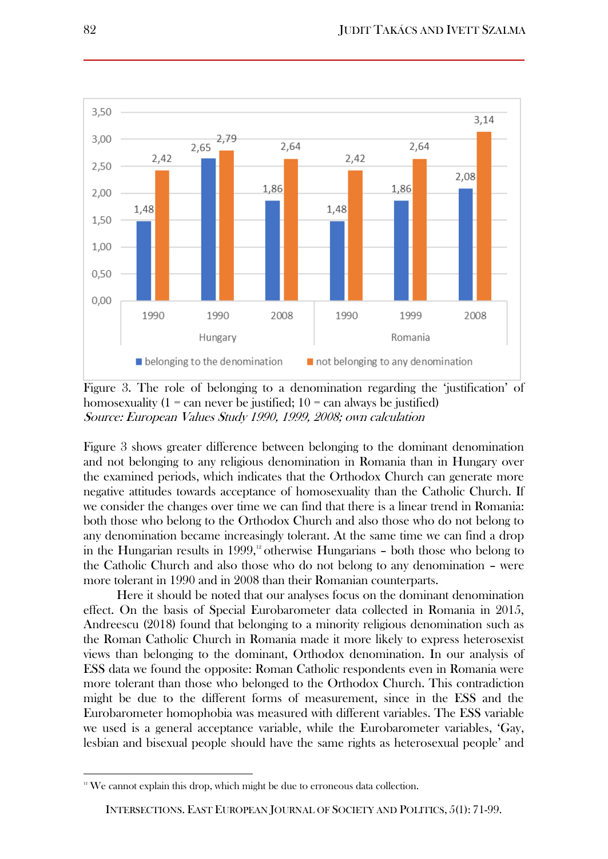

Figure 3. The role of belonging to a denomination regarding the 'justification' of homosexuality  $(1 - \text{can never be justified}; 10 - \text{can always be justified})$ Source: European Values Study 1990, 1999, 2008; own calculation

Figure 3 shows greater difference between belonging to the dominant denomination and not belonging to any religious denomination in Romania than in Hungary over the examined periods, which indicates that the Orthodox Church can generate more negative attitudes towards acceptance of homosexuality than the Catholic Church. If we consider the changes over time we can find that there is a linear trend in Romania: both those who belong to the Orthodox Church and also those who do not belong to any denomination became increasingly tolerant. At the same time we can find a drop in the Hungarian results in 1999,<sup>12</sup> otherwise Hungarians  $-$  both those who belong to the Catholic Church and also those who do not belong to any denomination – were more tolerant in 1990 and in 2008 than their Romanian counterparts.

Here it should be noted that our analyses focus on the dominant denomination effect. On the basis of Special Eurobarometer data collected in Romania in 2015, Andreescu (2018) found that belonging to a minority religious denomination such as the Roman Catholic Church in Romania made it more likely to express heterosexist views than belonging to the dominant, Orthodox denomination. In our analysis of ESS data we found the opposite: Roman Catholic respondents even in Romania were more tolerant than those who belonged to the Orthodox Church. This contradiction might be due to the different forms of measurement, since in the ESS and the Eurobarometer homophobia was measured with different variables. The ESS variable we used is a general acceptance variable, while the Eurobarometer variables, 'Gay, lesbian and bisexual people should have the same rights as heterosexual people' and

 $\overline{\phantom{a}}$ 

 $12$ <sup>12</sup> We cannot explain this drop, which might be due to erroneous data collection.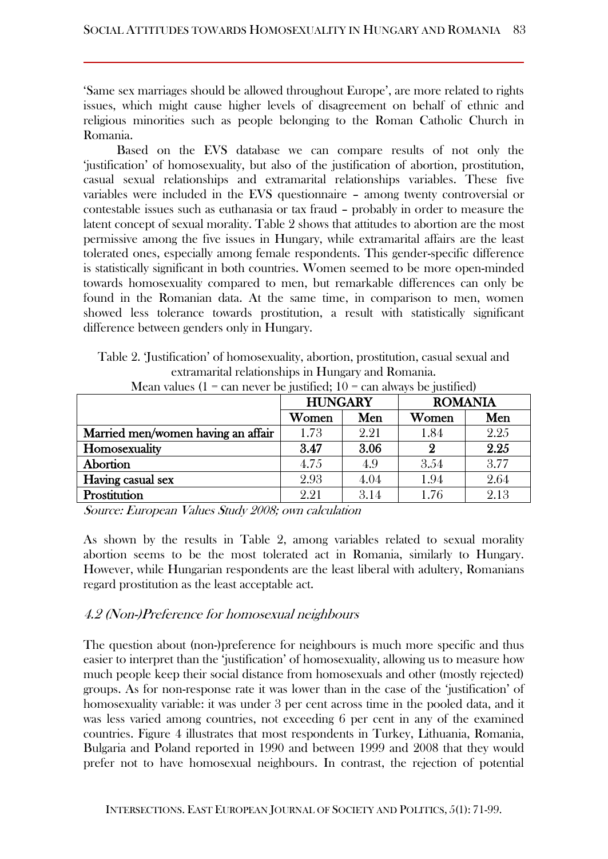'Same sex marriages should be allowed throughout Europe', are more related to rights issues, which might cause higher levels of disagreement on behalf of ethnic and religious minorities such as people belonging to the Roman Catholic Church in Romania.

Based on the EVS database we can compare results of not only the 'justification' of homosexuality, but also of the justification of abortion, prostitution, casual sexual relationships and extramarital relationships variables. These five variables were included in the EVS questionnaire – among twenty controversial or contestable issues such as euthanasia or tax fraud – probably in order to measure the latent concept of sexual morality. Table 2 shows that attitudes to abortion are the most permissive among the five issues in Hungary, while extramarital affairs are the least tolerated ones, especially among female respondents. This gender-specific difference is statistically significant in both countries. Women seemed to be more open-minded towards homosexuality compared to men, but remarkable differences can only be found in the Romanian data. At the same time, in comparison to men, women showed less tolerance towards prostitution, a result with statistically significant difference between genders only in Hungary.

Table 2. 'Justification' of homosexuality, abortion, prostitution, casual sexual and extramarital relationships in Hungary and Romania. Mean values  $(1 = \text{can never be justified} \cdot 10 = \text{can always be justified})$ 

| $m$ ean values $(1 - c$ an never de justineg; $10 - c$ an always de justineg) |                |      |                |      |  |
|-------------------------------------------------------------------------------|----------------|------|----------------|------|--|
|                                                                               | <b>HUNGARY</b> |      | <b>ROMANIA</b> |      |  |
|                                                                               | Women          | Men  | Women          | Men  |  |
| Married men/women having an affair                                            | 1.73           | 2.21 | 1.84           | 2.25 |  |
| Homosexuality                                                                 | 3.47           | 3.06 | 9              | 2.25 |  |
| Abortion                                                                      | 4.75           | 4.9  | 3.54           | 3.77 |  |
| Having casual sex                                                             | 2.93           | 4.04 | 1.94           | 2.64 |  |
| Prostitution                                                                  | 2.21           | 3.14 | 1.76           | 2.13 |  |

Source: European Values Study 2008; own calculation

As shown by the results in Table 2, among variables related to sexual morality abortion seems to be the most tolerated act in Romania, similarly to Hungary. However, while Hungarian respondents are the least liberal with adultery, Romanians regard prostitution as the least acceptable act.

#### 4.2 (Non-)Preference for homosexual neighbours

The question about (non-)preference for neighbours is much more specific and thus easier to interpret than the 'justification' of homosexuality, allowing us to measure how much people keep their social distance from homosexuals and other (mostly rejected) groups. As for non-response rate it was lower than in the case of the 'justification' of homosexuality variable: it was under 3 per cent across time in the pooled data, and it was less varied among countries, not exceeding 6 per cent in any of the examined countries. Figure 4 illustrates that most respondents in Turkey, Lithuania, Romania, Bulgaria and Poland reported in 1990 and between 1999 and 2008 that they would prefer not to have homosexual neighbours. In contrast, the rejection of potential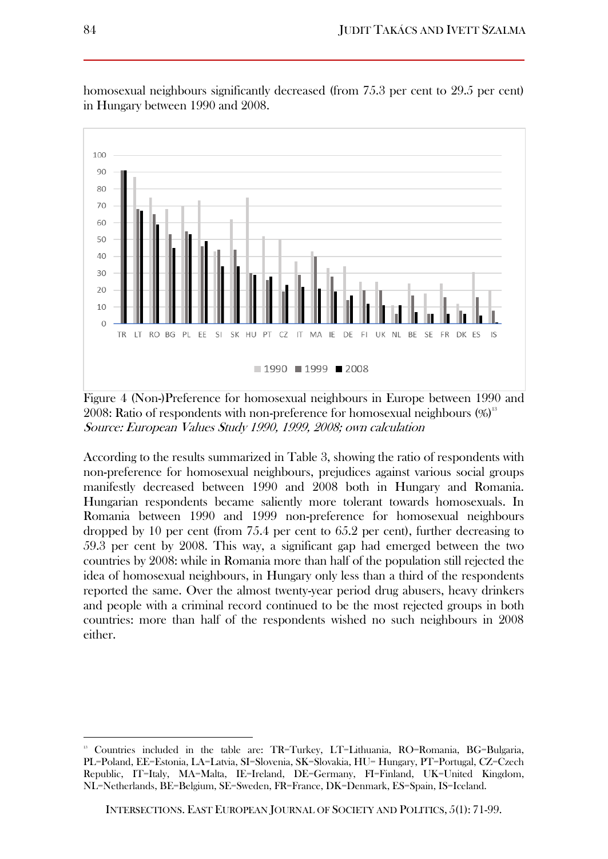

homosexual neighbours significantly decreased (from 75.3 per cent to 29.5 per cent) in Hungary between 1990 and 2008.

Figure 4 (Non-)Preference for homosexual neighbours in Europe between 1990 and 2008: Ratio of respondents with non-preference for homosexual neighbours (%) 13 Source: European Values Study 1990, 1999, 2008; own calculation

According to the results summarized in Table 3, showing the ratio of respondents with non-preference for homosexual neighbours, prejudices against various social groups manifestly decreased between 1990 and 2008 both in Hungary and Romania. Hungarian respondents became saliently more tolerant towards homosexuals. In Romania between 1990 and 1999 non-preference for homosexual neighbours dropped by 10 per cent (from 75.4 per cent to 65.2 per cent), further decreasing to 59.3 per cent by 2008. This way, a significant gap had emerged between the two countries by 2008: while in Romania more than half of the population still rejected the idea of homosexual neighbours, in Hungary only less than a third of the respondents reported the same. Over the almost twenty-year period drug abusers, heavy drinkers and people with a criminal record continued to be the most rejected groups in both countries: more than half of the respondents wished no such neighbours in 2008 either.

 $\overline{\phantom{a}}$ 

<sup>13</sup> Countries included in the table are: TR=Turkey, LT=Lithuania, RO=Romania, BG=Bulgaria, PL=Poland, EE=Estonia, LA=Latvia, SI=Slovenia, SK=Slovakia, HU= Hungary, PT=Portugal, CZ=Czech Republic, IT=Italy, MA=Malta, IE=Ireland, DE=Germany, FI=Finland, UK=United Kingdom, NL=Netherlands, BE=Belgium, SE=Sweden, FR=France, DK=Denmark, ES=Spain, IS=Iceland.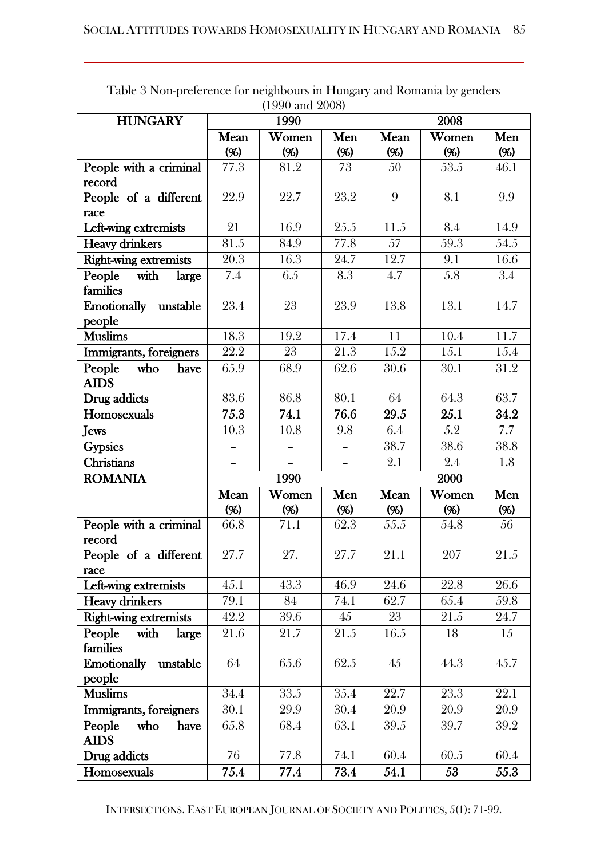| <b>HUNGARY</b>                       |                   | 1990              |                   |               | 2008   |                  |
|--------------------------------------|-------------------|-------------------|-------------------|---------------|--------|------------------|
|                                      | Mean              | Women             | Men               | Women<br>Mean |        | Men              |
|                                      | (%)               | (96)              | (96)              | ( %)          | (96)   | (96)             |
| People with a criminal               | 77.3              | 81.2              | 73                | 50            | 53.5   | 46.1             |
| record                               |                   |                   |                   |               |        |                  |
| People of a different                | 22.9              | 22.7              | 23.2              | 9             | 8.1    | 9.9              |
| race                                 |                   |                   |                   |               |        |                  |
| Left-wing extremists                 | 21                | 16.9              | $\overline{25.5}$ | 11.5          | 8.4    | 14.9             |
| <b>Heavy drinkers</b>                | 81.5              | 84.9              | 77.8              | 57            | 59.3   | 54.5             |
| <b>Right-wing extremists</b>         | 20.3              | 16.3              | 24.7              | 12.7          | 9.1    | 16.6             |
| with<br>People<br>large<br>families  | 7.4               | 6.5               | 8.3               | 4.7           | 5.8    | $\overline{3.4}$ |
| Emotionally unstable                 | 23.4              | 23                | 23.9              | 13.8          | 13.1   | 14.7             |
| people                               |                   |                   |                   |               |        |                  |
| <b>Muslims</b>                       | 18.3              | 19.2              | 17.4              | 11            | 10.4   | 11.7             |
| Immigrants, foreigners               | 22.2              | 23                | 21.3              | 15.2          | 15.1   | 15.4             |
| People<br>who<br>have<br><b>AIDS</b> | 65.9              | 68.9              | 62.6              | 30.6          | 30.1   | 31.2             |
| Drug addicts                         | 83.6              | 86.8              | 80.1              | 64            | 64.3   | 63.7             |
| Homosexuals                          | 75.3              | 74.1              | 76.6              | 29.5          | 25.1   | 34.2             |
| <b>Jews</b>                          | 10.3              | 10.8              | 9.8               | 6.4           | 5.2    | 7.7              |
| <b>Gypsies</b>                       |                   |                   |                   | 38.7          | 38.6   | 38.8             |
| <b>Christians</b>                    |                   |                   |                   | 2.1           | 2.4    | 1.8              |
| <b>ROMANIA</b>                       |                   | 1990              |                   |               | 2000   |                  |
|                                      | Mean              | Women             | Men               | Women<br>Mean |        | Men              |
|                                      | $($ %)            | (%)               | (96)              | (96)          | $($ %) | (96)             |
| People with a criminal               | 66.8              | $\overline{7}1.1$ | 62.3              | 55.5          | 54.8   | 56               |
| record                               |                   |                   |                   |               |        |                  |
| People of a different                | $\overline{27.7}$ | 27.               | 27.7              | 21.1          | 207    | 21.5             |
| race<br>Left-wing extremists         | 45.1              | 43.3              | 46.9              | 24.6          | 22.8   | 26.6             |
| <b>Heavy drinkers</b>                | 79.1              | 84                | 74.1              | 62.7          | 65.4   | 59.8             |
| <b>Right-wing extremists</b>         | 42.2              | 39.6              | 45                | 23            | 21.5   | 24.7             |
| People<br>with<br>large              | 21.6              | 21.7              | 21.5              | 16.5          | 18     | 15               |
| families                             |                   |                   |                   |               |        |                  |
| <b>Emotionally</b><br>unstable       | 64                | 65.6              | 62.5              | 45            | 44.3   | 45.7             |
| people                               |                   |                   |                   |               |        |                  |
| <b>Muslims</b>                       | $\overline{3}4.4$ | 33.5              | 35.4              | 22.7          | 23.3   | 22.1             |
| Immigrants, foreigners               | 30.1              | 29.9              | 30.4              | 20.9          | 20.9   | 20.9             |
| People<br>who<br>have<br><b>AIDS</b> | 65.8              | 68.4              | 63.1              | 39.5          | 39.7   | 39.2             |
| Drug addicts                         | 76                | 77.8              | 74.1              | 60.4          | 60.5   | 60.4             |
| Homosexuals                          | 75.4              | 77.4              | 73.4              | 54.1          | 53     | 55.3             |

Table 3 Non-preference for neighbours in Hungary and Romania by genders (1990 and 2008)

INTERSECTIONS. EAST EUROPEAN JOURNAL OF SOCIETY AND POLITICS, 5(1): 71-99.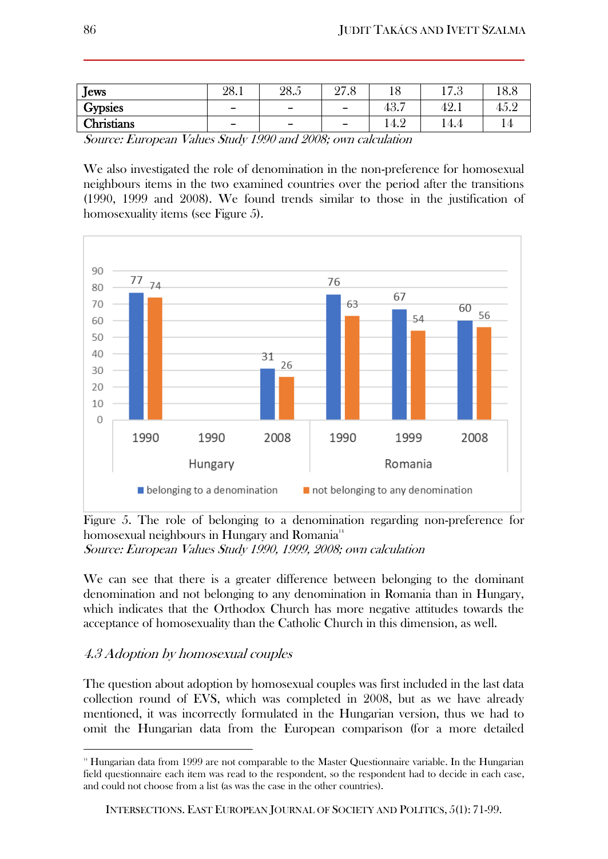| $J$ ews        | 28.1                     | 28.5                     | 97<br>40.U               |      | $  \Omega$<br>17.0 | 18.8 |
|----------------|--------------------------|--------------------------|--------------------------|------|--------------------|------|
| <b>Gypsies</b> | -                        | $\overline{\phantom{0}}$ | $\overline{\phantom{0}}$ | 43.7 | 42.1               | 45.2 |
| Christians     | $\overline{\phantom{0}}$ | $\overline{\phantom{0}}$ | $\overline{\phantom{a}}$ | 14.2 | 14.4               |      |

Source: European Values Study 1990 and 2008; own calculation

We also investigated the role of denomination in the non-preference for homosexual neighbours items in the two examined countries over the period after the transitions (1990, 1999 and 2008). We found trends similar to those in the justification of homosexuality items (see Figure 5).



Figure 5. The role of belonging to a denomination regarding non-preference for homosexual neighbours in Hungary and Romania<sup>14</sup> Source: European Values Study 1990, 1999, 2008; own calculation

We can see that there is a greater difference between belonging to the dominant denomination and not belonging to any denomination in Romania than in Hungary, which indicates that the Orthodox Church has more negative attitudes towards the acceptance of homosexuality than the Catholic Church in this dimension, as well.

## 4.3 Adoption by homosexual couples

 $\overline{\phantom{a}}$ 

The question about adoption by homosexual couples was first included in the last data collection round of EVS, which was completed in 2008, but as we have already mentioned, it was incorrectly formulated in the Hungarian version, thus we had to omit the Hungarian data from the European comparison (for a more detailed

<sup>14</sup> Hungarian data from 1999 are not comparable to the Master Questionnaire variable. In the Hungarian field questionnaire each item was read to the respondent, so the respondent had to decide in each case, and could not choose from a list (as was the case in the other countries).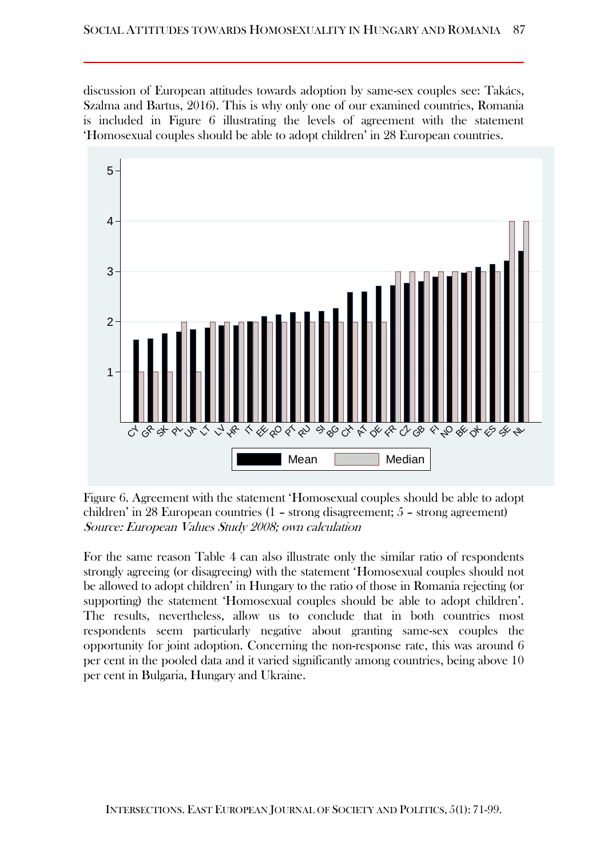discussion of European attitudes towards adoption by same-sex couples see: Takács, Szalma and Bartus, 2016). This is why only one of our examined countries, Romania is included in Figure 6 illustrating the levels of agreement with the statement 'Homosexual couples should be able to adopt children' in 28 European countries.



Figure 6. Agreement with the statement 'Homosexual couples should be able to adopt children' in 28 European countries (1 – strong disagreement; 5 – strong agreement) Source: European Values Study 2008; own calculation

For the same reason Table 4 can also illustrate only the similar ratio of respondents strongly agreeing (or disagreeing) with the statement 'Homosexual couples should not be allowed to adopt children' in Hungary to the ratio of those in Romania rejecting (or supporting) the statement 'Homosexual couples should be able to adopt children'. The results, nevertheless, allow us to conclude that in both countries most respondents seem particularly negative about granting same-sex couples the opportunity for joint adoption. Concerning the non-response rate, this was around 6 per cent in the pooled data and it varied significantly among countries, being above 10 per cent in Bulgaria, Hungary and Ukraine.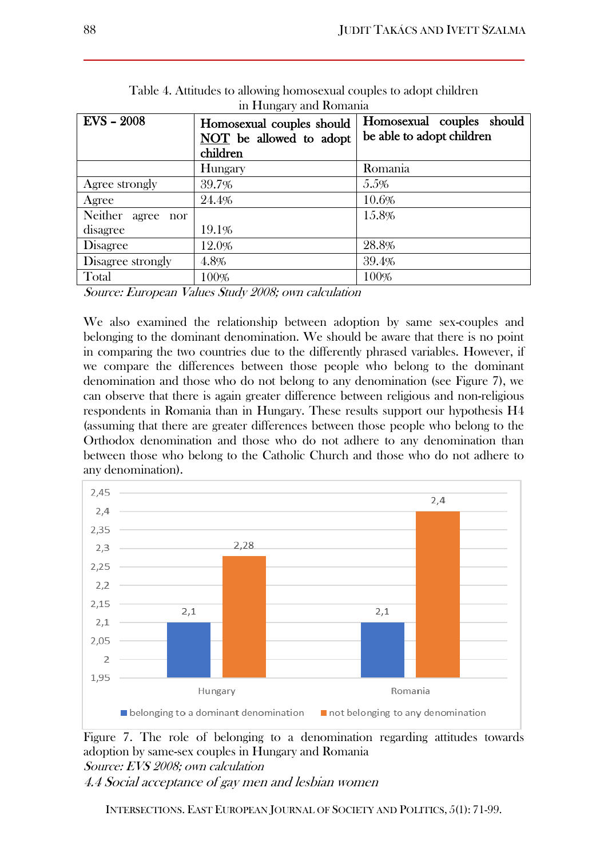| $\ldots$             |                           |                           |  |  |  |  |  |  |
|----------------------|---------------------------|---------------------------|--|--|--|--|--|--|
| $EVS - 2008$         | Homosexual couples should | Homosexual couples should |  |  |  |  |  |  |
|                      | NOT be allowed to adopt   | be able to adopt children |  |  |  |  |  |  |
|                      | children                  |                           |  |  |  |  |  |  |
|                      | Hungary                   | Romania                   |  |  |  |  |  |  |
| Agree strongly       | 39.7%                     | 5.5%                      |  |  |  |  |  |  |
| Agree                | 24.4%                     | 10.6%                     |  |  |  |  |  |  |
| Neither agree<br>nor |                           | 15.8%                     |  |  |  |  |  |  |
| disagree             | 19.1%                     |                           |  |  |  |  |  |  |
| <b>Disagree</b>      | 12.0%                     | 28.8%                     |  |  |  |  |  |  |
| Disagree strongly    | 4.8%                      | 39.4%                     |  |  |  |  |  |  |
| Total                | 100%                      | 100%                      |  |  |  |  |  |  |
|                      | .                         |                           |  |  |  |  |  |  |

Table 4. Attitudes to allowing homosexual couples to adopt children in Hungary and Romania

Source: European Values Study 2008; own calculation

We also examined the relationship between adoption by same sex-couples and belonging to the dominant denomination. We should be aware that there is no point in comparing the two countries due to the differently phrased variables. However, if we compare the differences between those people who belong to the dominant denomination and those who do not belong to any denomination (see Figure 7), we can observe that there is again greater difference between religious and non-religious respondents in Romania than in Hungary. These results support our hypothesis H4 (assuming that there are greater differences between those people who belong to the Orthodox denomination and those who do not adhere to any denomination than between those who belong to the Catholic Church and those who do not adhere to any denomination).



Figure 7. The role of belonging to a denomination regarding attitudes towards adoption by same-sex couples in Hungary and Romania Source: EVS 2008; own calculation

4.4 Social acceptance of gay men and lesbian women

INTERSECTIONS. EAST EUROPEAN JOURNAL OF SOCIETY AND POLITICS, 5(1): 71-99.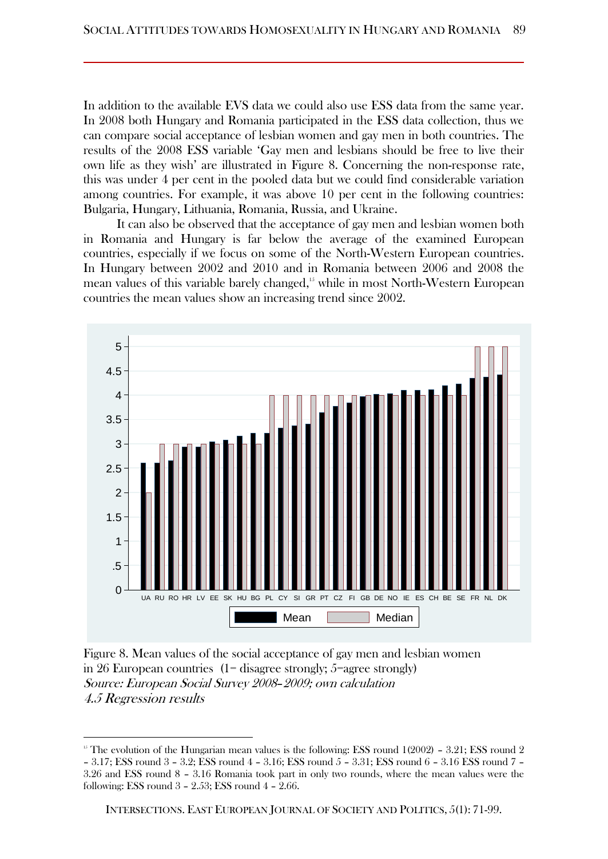In addition to the available EVS data we could also use ESS data from the same year. In 2008 both Hungary and Romania participated in the ESS data collection, thus we can compare social acceptance of lesbian women and gay men in both countries. The results of the 2008 ESS variable 'Gay men and lesbians should be free to live their own life as they wish' are illustrated in Figure 8. Concerning the non-response rate, this was under 4 per cent in the pooled data but we could find considerable variation among countries. For example, it was above 10 per cent in the following countries: Bulgaria, Hungary, Lithuania, Romania, Russia, and Ukraine.

It can also be observed that the acceptance of gay men and lesbian women both in Romania and Hungary is far below the average of the examined European countries, especially if we focus on some of the North-Western European countries. In Hungary between 2002 and 2010 and in Romania between 2006 and 2008 the mean values of this variable barely changed,<sup>15</sup> while in most North-Western European countries the mean values show an increasing trend since 2002.



Figure 8. Mean values of the social acceptance of gay men and lesbian women in 26 European countries  $(1 - \text{disagree strongly}; 5 = \text{agree strongly})$ Source: European Social Survey 2008–2009; own calculation 4.5 Regression results

 $\overline{\phantom{a}}$ 

<sup>&</sup>lt;sup>15</sup> The evolution of the Hungarian mean values is the following: ESS round 1(2002) - 3.21; ESS round 2 – 3.17; ESS round 3 – 3.2; ESS round 4 – 3.16; ESS round 5 – 3.31; ESS round 6 – 3.16 ESS round 7 –

<sup>3.26</sup> and ESS round 8 – 3.16 Romania took part in only two rounds, where the mean values were the following: ESS round 3 – 2.53; ESS round 4 – 2.66.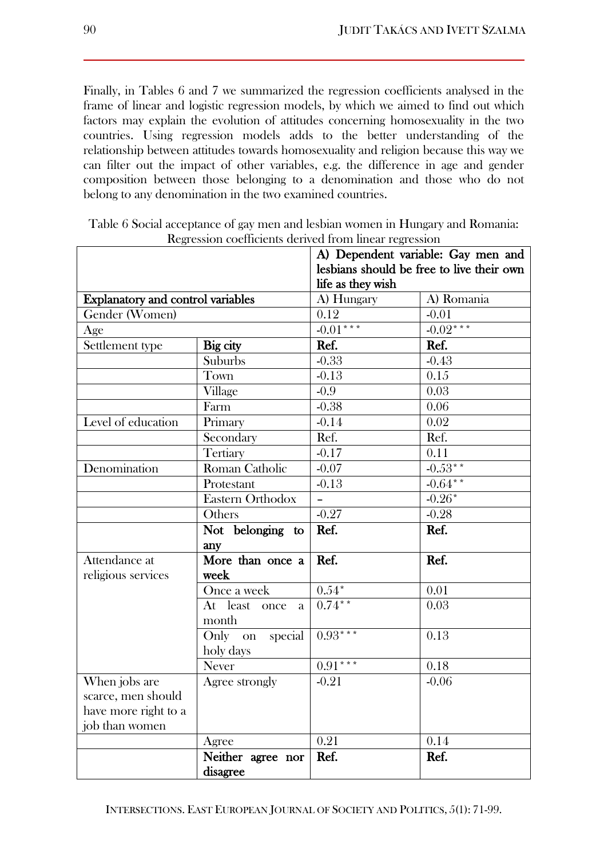Finally, in Tables 6 and 7 we summarized the regression coefficients analysed in the frame of linear and logistic regression models, by which we aimed to find out which factors may explain the evolution of attitudes concerning homosexuality in the two countries. Using regression models adds to the better understanding of the relationship between attitudes towards homosexuality and religion because this way we can filter out the impact of other variables, e.g. the difference in age and gender composition between those belonging to a denomination and those who do not belong to any denomination in the two examined countries.

|                                     |                                 | life as they wish | A) Dependent variable: Gay men and<br>lesbians should be free to live their own |
|-------------------------------------|---------------------------------|-------------------|---------------------------------------------------------------------------------|
| Explanatory and control variables   |                                 | A) Hungary        | A) Romania                                                                      |
| Gender (Women)                      |                                 | 0.12              | $-0.01$                                                                         |
| Age                                 |                                 | $-0.01***$        | $-0.02***$                                                                      |
| Settlement type                     | Big city                        | Ref.              | Ref.                                                                            |
|                                     | Suburbs                         | $-0.33$           | $-0.43$                                                                         |
|                                     | Town                            | $-0.13$           | 0.15                                                                            |
|                                     | Village                         | $-0.9$            | 0.03                                                                            |
|                                     | Farm                            | $-0.38$           | 0.06                                                                            |
| Level of education                  | Primary                         | $-0.14$           | 0.02                                                                            |
|                                     | Secondary                       | Ref.              | Ref.                                                                            |
|                                     | Tertiary                        | $-0.17$           | 0.11                                                                            |
| Denomination                        | Roman Catholic                  | $-0.07$           | $-0.53**$                                                                       |
|                                     | Protestant                      | $-0.13$           | $-0.64$ **                                                                      |
|                                     | Eastern Orthodox                |                   | $-0.26*$                                                                        |
|                                     | Others                          | $-0.27$           | $-0.28$                                                                         |
|                                     | Not belonging to                | Ref.              | Ref.                                                                            |
|                                     | any                             |                   |                                                                                 |
| Attendance at<br>religious services | More than once a<br>week        | Ref.              | Ref.                                                                            |
|                                     | Once a week                     | $0.54*$           | 0.01                                                                            |
|                                     | At least<br>once<br>a.<br>month | $0.74***$         | 0.03                                                                            |
|                                     | Only on special<br>holy days    | $0.93***$         | 0.13                                                                            |
|                                     | Never                           | $0.91***$         | 0.18                                                                            |
| When jobs are                       | Agree strongly                  | $-0.21$           | $-0.06$                                                                         |
| scarce, men should                  |                                 |                   |                                                                                 |
| have more right to a                |                                 |                   |                                                                                 |
| job than women                      |                                 |                   |                                                                                 |
|                                     | Agree                           | 0.21              | 0.14                                                                            |
|                                     | Neither agree nor<br>disagree   | Ref.              | Ref.                                                                            |

Table 6 Social acceptance of gay men and lesbian women in Hungary and Romania: Regression coefficients derived from linear regression

INTERSECTIONS. EAST EUROPEAN JOURNAL OF SOCIETY AND POLITICS, 5(1): 71-99.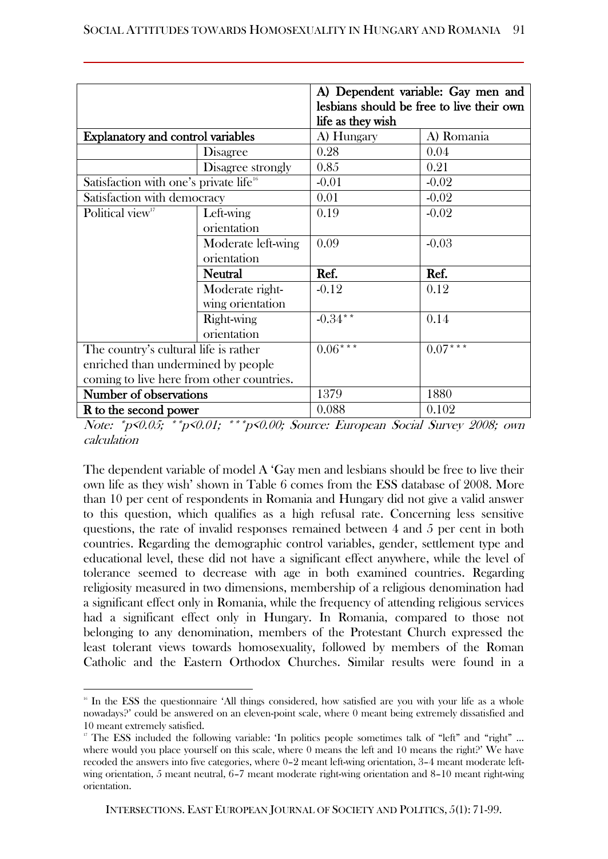|                                                    |                    | life as they wish | A) Dependent variable: Gay men and<br>lesbians should be free to live their own |
|----------------------------------------------------|--------------------|-------------------|---------------------------------------------------------------------------------|
| <b>Explanatory and control variables</b>           |                    | A) Hungary        | A) Romania                                                                      |
|                                                    | <b>Disagree</b>    | 0.28              | 0.04                                                                            |
|                                                    | Disagree strongly  | 0.85              | 0.21                                                                            |
| Satisfaction with one's private life <sup>16</sup> |                    | $-0.01$           | $-0.02$                                                                         |
| Satisfaction with democracy                        |                    | 0.01              | $-0.02$                                                                         |
| Political view <sup>17</sup>                       | Left-wing          | 0.19              | $-0.02$                                                                         |
|                                                    | orientation        |                   |                                                                                 |
|                                                    | Moderate left-wing | 0.09              | $-0.03$                                                                         |
|                                                    | orientation        |                   |                                                                                 |
|                                                    | <b>Neutral</b>     | Ref.              | Ref.                                                                            |
|                                                    | Moderate right-    | $-0.12$           | 0.12                                                                            |
|                                                    | wing orientation   |                   |                                                                                 |
|                                                    | Right-wing         | $-0.34$ **        | 0.14                                                                            |
|                                                    | orientation        |                   |                                                                                 |
| The country's cultural life is rather              |                    | $0.06***$         | $0.07***$                                                                       |
| enriched than undermined by people                 |                    |                   |                                                                                 |
| coming to live here from other countries.          |                    |                   |                                                                                 |
| Number of observations                             |                    | 1379              | 1880                                                                            |
| <b>R</b> to the second power                       |                    | 0.088             | 0.102                                                                           |

Note: \*p<0.05; \*\*p<0.01; \*\*\*p<0.00; Source: European Social Survey 2008; own calculation

The dependent variable of model A 'Gay men and lesbians should be free to live their own life as they wish' shown in Table 6 comes from the ESS database of 2008. More than 10 per cent of respondents in Romania and Hungary did not give a valid answer to this question, which qualifies as a high refusal rate. Concerning less sensitive questions, the rate of invalid responses remained between 4 and 5 per cent in both countries. Regarding the demographic control variables, gender, settlement type and educational level, these did not have a significant effect anywhere, while the level of tolerance seemed to decrease with age in both examined countries. Regarding religiosity measured in two dimensions, membership of a religious denomination had a significant effect only in Romania, while the frequency of attending religious services had a significant effect only in Hungary. In Romania, compared to those not belonging to any denomination, members of the Protestant Church expressed the least tolerant views towards homosexuality, followed by members of the Roman Catholic and the Eastern Orthodox Churches. Similar results were found in a

 $\overline{\phantom{a}}$ 

<sup>&</sup>lt;sup>16</sup> In the ESS the questionnaire 'All things considered, how satisfied are you with your life as a whole nowadays?' could be answered on an eleven-point scale, where 0 meant being extremely dissatisfied and 10 meant extremely satisfied.

<sup>&</sup>lt;sup>17</sup> The ESS included the following variable: 'In politics people sometimes talk of "left" and "right" ... where would you place yourself on this scale, where 0 means the left and 10 means the right?' We have recoded the answers into five categories, where 0–2 meant left-wing orientation, 3–4 meant moderate leftwing orientation, 5 meant neutral, 6–7 meant moderate right-wing orientation and 8–10 meant right-wing orientation.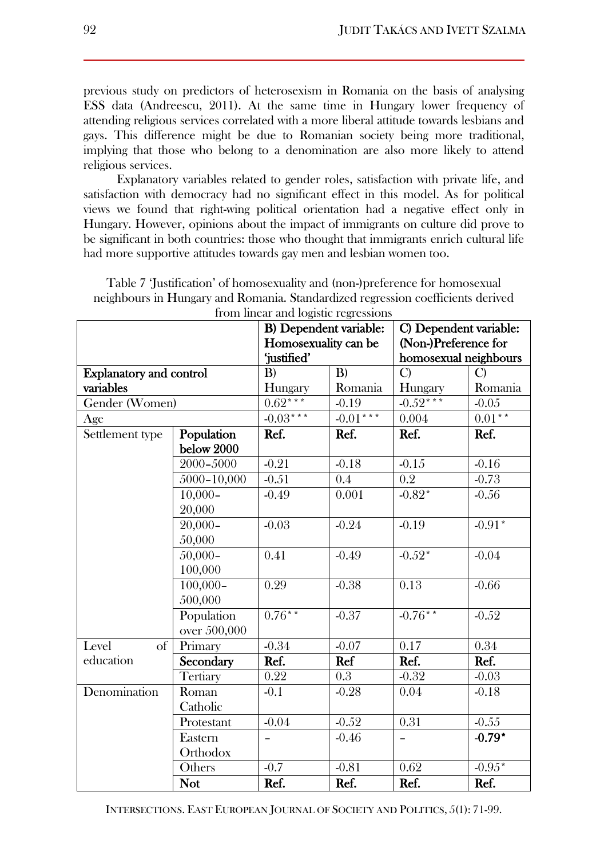previous study on predictors of heterosexism in Romania on the basis of analysing ESS data (Andreescu, 2011). At the same time in Hungary lower frequency of attending religious services correlated with a more liberal attitude towards lesbians and gays. This difference might be due to Romanian society being more traditional, implying that those who belong to a denomination are also more likely to attend religious services.

Explanatory variables related to gender roles, satisfaction with private life, and satisfaction with democracy had no significant effect in this model. As for political views we found that right-wing political orientation had a negative effect only in Hungary. However, opinions about the impact of immigrants on culture did prove to be significant in both countries: those who thought that immigrants enrich cultural life had more supportive attitudes towards gay men and lesbian women too.

| Table 7 Justification' of homosexuality and (non-)preference for homosexual     |
|---------------------------------------------------------------------------------|
| neighbours in Hungary and Romania. Standardized regression coefficients derived |
| fueno lingva en del cuistic normaggiore                                         |

| from linear and logistic regressions                    |                                |                          |                      |               |                       |  |
|---------------------------------------------------------|--------------------------------|--------------------------|----------------------|---------------|-----------------------|--|
| <b>B)</b> Dependent variable:<br>C) Dependent variable: |                                |                          |                      |               |                       |  |
|                                                         |                                |                          | Homosexuality can be |               | (Non-)Preference for  |  |
|                                                         |                                |                          | 'justified'          |               | homosexual neighbours |  |
|                                                         | <b>Explanatory and control</b> |                          | B)                   | $\mathcal{C}$ | $\mathcal{C}$         |  |
| variables                                               |                                | Hungary                  | Romania              | Hungary       | Romania               |  |
| Gender (Women)                                          |                                | $0.62***$                | $-0.19$              | $-0.52***$    | $-0.05$               |  |
| Age                                                     |                                | $-0.03***$               | $-0.01***$           | 0.004         | $0.01**$              |  |
| Settlement type                                         | Population                     | Ref.                     | Ref.                 | Ref.          | Ref.                  |  |
|                                                         | below 2000                     |                          |                      |               |                       |  |
|                                                         | 2000-5000                      | $-0.21$                  | $-0.18$              | $-0.15$       | $-0.16$               |  |
|                                                         | 5000-10,000                    | $-0.51$                  | 0.4                  | 0.2           | $-0.73$               |  |
|                                                         | $10,000 -$                     | $-0.49$                  | 0.001                | $-0.82*$      | $-0.56$               |  |
|                                                         | 20,000                         |                          |                      |               |                       |  |
|                                                         | $20,000 -$                     | $-0.03$                  | $-0.24$              | $-0.19$       | $-0.91*$              |  |
|                                                         | 50,000                         |                          |                      |               |                       |  |
|                                                         | $50,000 -$                     | 0.41                     | $-0.49$              | $-0.52*$      | $-0.04$               |  |
|                                                         | 100,000                        |                          |                      |               |                       |  |
|                                                         | $100,000 -$                    | 0.29                     | $-0.38$              | 0.13          | $-0.66$               |  |
|                                                         | 500,000                        |                          |                      |               |                       |  |
|                                                         | Population                     | $0.76***$                | $-0.37$              | $-0.76***$    | $-0.52$               |  |
|                                                         | over 500,000                   |                          |                      |               |                       |  |
| Level<br>of                                             | Primary                        | $-0.34$                  | $-0.07$              | 0.17          | 0.34                  |  |
| education                                               | Secondary                      | Ref.                     | Ref                  | Ref.          | Ref.                  |  |
|                                                         | Tertiary                       | 0.22                     | 0.3                  | $-0.32$       | $-0.03$               |  |
| Denomination                                            | Roman                          | $-0.1$                   | $-0.28$              | 0.04          | $-0.18$               |  |
|                                                         | Catholic                       |                          |                      |               |                       |  |
|                                                         | Protestant                     | $-0.04$                  | $-0.52$              | 0.31          | $-0.55$               |  |
|                                                         | Eastern                        | $\overline{\phantom{0}}$ | $-0.46$              |               | $-0.79*$              |  |
|                                                         | Orthodox                       |                          |                      |               |                       |  |
|                                                         | Others                         | $-0.7$                   | $-0.81$              | 0.62          | $-0.95*$              |  |
|                                                         | <b>Not</b>                     | Ref.                     | Ref.                 | Ref.          | Ref.                  |  |

INTERSECTIONS. EAST EUROPEAN JOURNAL OF SOCIETY AND POLITICS, 5(1): 71-99.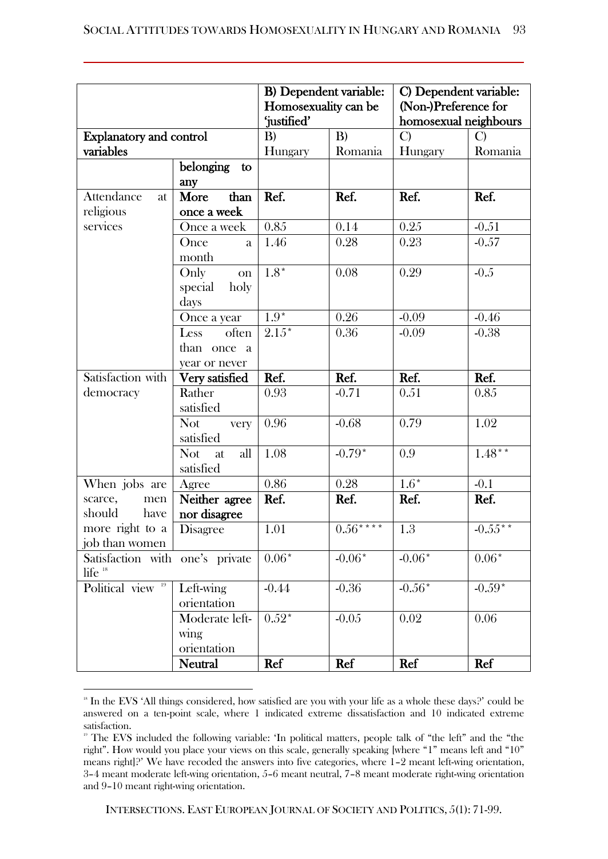|                                                       |                          |                   | <b>B)</b> Dependent variable:<br>Homosexuality can be<br>'justified' |                  | C) Dependent variable:<br>(Non-)Preference for<br>homosexual neighbours |  |
|-------------------------------------------------------|--------------------------|-------------------|----------------------------------------------------------------------|------------------|-------------------------------------------------------------------------|--|
| <b>Explanatory and control</b>                        |                          | B)                | B)                                                                   | $\mathbf{C}$     | C)                                                                      |  |
| variables                                             |                          | Hungary           | Romania                                                              | Hungary          | Romania                                                                 |  |
|                                                       | belonging<br>to<br>any   |                   |                                                                      |                  |                                                                         |  |
| <b>Attendance</b><br>at                               | than<br>More             | Ref.              | Ref.                                                                 | Ref.             | Ref.                                                                    |  |
| religious                                             | once a week              |                   |                                                                      |                  |                                                                         |  |
| services                                              | Once a week              | 0.85              | 0.14                                                                 | 0.25             | $-0.51$                                                                 |  |
|                                                       | Once<br>a                | 1.46              | 0.28                                                                 | 0.23             | $-0.57$                                                                 |  |
|                                                       | month                    |                   |                                                                      |                  |                                                                         |  |
|                                                       | Only<br><b>on</b>        | $1.8*$            | 0.08                                                                 | 0.29             | $-0.5$                                                                  |  |
|                                                       | holy<br>special          |                   |                                                                      |                  |                                                                         |  |
|                                                       | days                     |                   |                                                                      |                  |                                                                         |  |
|                                                       | Once a year              | $1.9*$            | $0.26\,$                                                             | $-0.09$          | $-0.46$                                                                 |  |
|                                                       | Less<br>often            | $2.15*$           | 0.36                                                                 | $-0.09$          | $-0.38$                                                                 |  |
|                                                       | than once<br>a a         |                   |                                                                      |                  |                                                                         |  |
|                                                       | year or never            |                   |                                                                      |                  |                                                                         |  |
| Satisfaction with                                     | Very satisfied           | Ref.              | Ref.                                                                 | Ref.             | Ref.                                                                    |  |
| democracy                                             | Rather                   | 0.93              | $-0.71$                                                              | 0.51             | 0.85                                                                    |  |
|                                                       | satisfied                |                   |                                                                      |                  |                                                                         |  |
|                                                       | <b>Not</b><br>very       | 0.96              | $-0.68$                                                              | 0.79             | 1.02                                                                    |  |
|                                                       | satisfied                |                   |                                                                      |                  |                                                                         |  |
|                                                       | <b>Not</b><br>all<br>at. | 1.08              | $-0.79*$                                                             | 0.9              | $1.48***$                                                               |  |
|                                                       | satisfied                |                   |                                                                      |                  |                                                                         |  |
| When jobs are                                         | Agree                    | 0.86              | 0.28                                                                 | $1.6*$           | $-0.1$                                                                  |  |
| scarce,<br>men                                        | Neither agree            | Ref.              | Ref.                                                                 | Ref.             | Ref.                                                                    |  |
| should<br>have                                        | nor disagree             |                   |                                                                      |                  |                                                                         |  |
| more right to a                                       | <b>Disagree</b>          | $\overline{1.01}$ | $0.56***$                                                            | $\overline{1.3}$ | $-0.55***$                                                              |  |
| job than women                                        |                          |                   |                                                                      |                  |                                                                         |  |
| Satisfaction with one's private<br>life <sup>18</sup> |                          | $0.06*$           | $-0.06*$                                                             | $-0.06*$         | $0.06*$                                                                 |  |
| Political view <sup>19</sup>                          | Left-wing                | $-0.44$           | $-0.36$                                                              | $-0.56*$         | $-0.59*$                                                                |  |
|                                                       | orientation              |                   |                                                                      |                  |                                                                         |  |
|                                                       | Moderate left-           | $0.52*$           | $-0.05$                                                              | 0.02             | 0.06                                                                    |  |
|                                                       | wing                     |                   |                                                                      |                  |                                                                         |  |
|                                                       | orientation              |                   |                                                                      |                  |                                                                         |  |
|                                                       | <b>Neutral</b>           | Ref               | Ref                                                                  | Ref              | Ref                                                                     |  |

<sup>&</sup>lt;sup>18</sup> In the EVS 'All things considered, how satisfied are you with your life as a whole these days?' could be answered on a ten-point scale, where 1 indicated extreme dissatisfaction and 10 indicated extreme satisfaction.

 $\overline{\phantom{a}}$ 

<sup>&</sup>lt;sup>19</sup> The EVS included the following variable: 'In political matters, people talk of "the left" and the "the right". How would you place your views on this scale, generally speaking [where "1" means left and "10" means right]?' We have recoded the answers into five categories, where 1–2 meant left-wing orientation, 3–4 meant moderate left-wing orientation, 5–6 meant neutral, 7–8 meant moderate right-wing orientation and 9–10 meant right-wing orientation.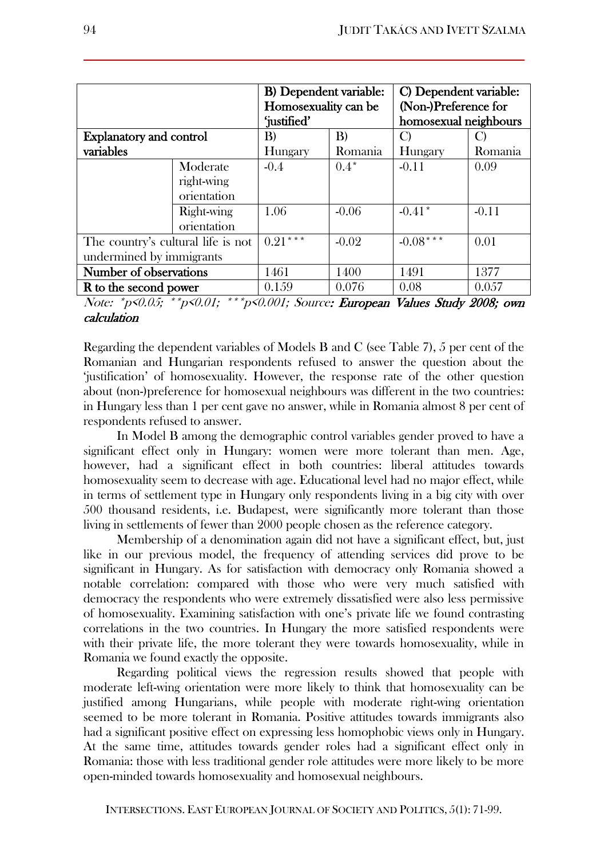| C) Dependent variable:<br>(Non-)Preference for<br>homosexual neighbours |
|-------------------------------------------------------------------------|
|                                                                         |
|                                                                         |
|                                                                         |
|                                                                         |
| Romania                                                                 |
| 0.09                                                                    |
|                                                                         |
|                                                                         |
| $-0.11$                                                                 |
|                                                                         |
| 0.01                                                                    |
|                                                                         |
| 1377                                                                    |
| 0.057                                                                   |
|                                                                         |

Note: \*p<0.05; \*\*p<0.01; \*\*\*p<0.001; Source: European Values Study 2008; own calculation

Regarding the dependent variables of Models B and C (see Table 7), 5 per cent of the Romanian and Hungarian respondents refused to answer the question about the 'justification' of homosexuality. However, the response rate of the other question about (non-)preference for homosexual neighbours was different in the two countries: in Hungary less than 1 per cent gave no answer, while in Romania almost 8 per cent of respondents refused to answer.

In Model B among the demographic control variables gender proved to have a significant effect only in Hungary: women were more tolerant than men. Age, however, had a significant effect in both countries: liberal attitudes towards homosexuality seem to decrease with age. Educational level had no major effect, while in terms of settlement type in Hungary only respondents living in a big city with over 500 thousand residents, i.e. Budapest, were significantly more tolerant than those living in settlements of fewer than 2000 people chosen as the reference category.

Membership of a denomination again did not have a significant effect, but, just like in our previous model, the frequency of attending services did prove to be significant in Hungary. As for satisfaction with democracy only Romania showed a notable correlation: compared with those who were very much satisfied with democracy the respondents who were extremely dissatisfied were also less permissive of homosexuality. Examining satisfaction with one's private life we found contrasting correlations in the two countries. In Hungary the more satisfied respondents were with their private life, the more tolerant they were towards homosexuality, while in Romania we found exactly the opposite.

Regarding political views the regression results showed that people with moderate left-wing orientation were more likely to think that homosexuality can be justified among Hungarians, while people with moderate right-wing orientation seemed to be more tolerant in Romania. Positive attitudes towards immigrants also had a significant positive effect on expressing less homophobic views only in Hungary. At the same time, attitudes towards gender roles had a significant effect only in Romania: those with less traditional gender role attitudes were more likely to be more open-minded towards homosexuality and homosexual neighbours.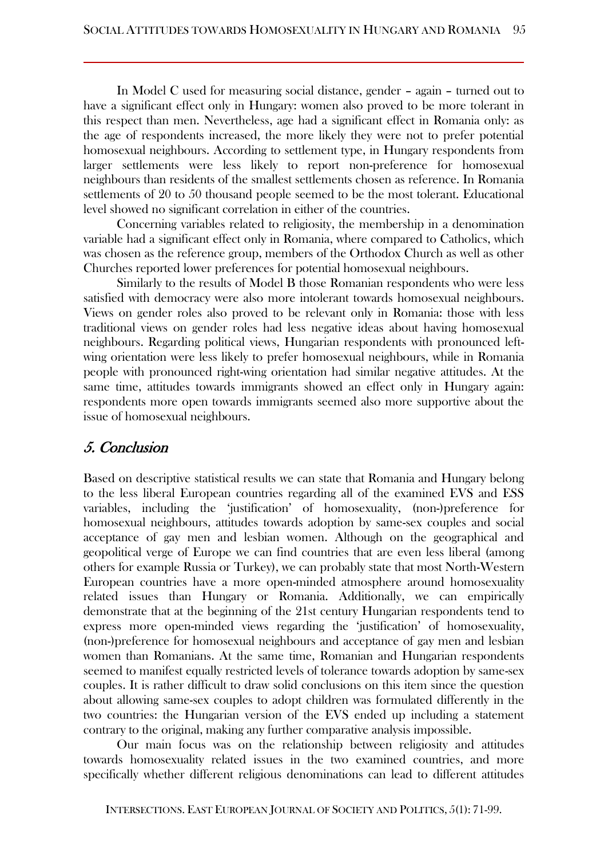In Model C used for measuring social distance, gender – again – turned out to have a significant effect only in Hungary: women also proved to be more tolerant in this respect than men. Nevertheless, age had a significant effect in Romania only: as the age of respondents increased, the more likely they were not to prefer potential homosexual neighbours. According to settlement type, in Hungary respondents from larger settlements were less likely to report non-preference for homosexual neighbours than residents of the smallest settlements chosen as reference. In Romania settlements of 20 to 50 thousand people seemed to be the most tolerant. Educational level showed no significant correlation in either of the countries.

Concerning variables related to religiosity, the membership in a denomination variable had a significant effect only in Romania, where compared to Catholics, which was chosen as the reference group, members of the Orthodox Church as well as other Churches reported lower preferences for potential homosexual neighbours.

Similarly to the results of Model B those Romanian respondents who were less satisfied with democracy were also more intolerant towards homosexual neighbours. Views on gender roles also proved to be relevant only in Romania: those with less traditional views on gender roles had less negative ideas about having homosexual neighbours. Regarding political views, Hungarian respondents with pronounced leftwing orientation were less likely to prefer homosexual neighbours, while in Romania people with pronounced right-wing orientation had similar negative attitudes. At the same time, attitudes towards immigrants showed an effect only in Hungary again: respondents more open towards immigrants seemed also more supportive about the issue of homosexual neighbours.

## 5. Conclusion

Based on descriptive statistical results we can state that Romania and Hungary belong to the less liberal European countries regarding all of the examined EVS and ESS variables, including the 'justification' of homosexuality, (non-)preference for homosexual neighbours, attitudes towards adoption by same-sex couples and social acceptance of gay men and lesbian women. Although on the geographical and geopolitical verge of Europe we can find countries that are even less liberal (among others for example Russia or Turkey), we can probably state that most North-Western European countries have a more open-minded atmosphere around homosexuality related issues than Hungary or Romania. Additionally, we can empirically demonstrate that at the beginning of the 21st century Hungarian respondents tend to express more open-minded views regarding the 'justification' of homosexuality, (non-)preference for homosexual neighbours and acceptance of gay men and lesbian women than Romanians. At the same time, Romanian and Hungarian respondents seemed to manifest equally restricted levels of tolerance towards adoption by same-sex couples. It is rather difficult to draw solid conclusions on this item since the question about allowing same-sex couples to adopt children was formulated differently in the two countries: the Hungarian version of the EVS ended up including a statement contrary to the original, making any further comparative analysis impossible.

Our main focus was on the relationship between religiosity and attitudes towards homosexuality related issues in the two examined countries, and more specifically whether different religious denominations can lead to different attitudes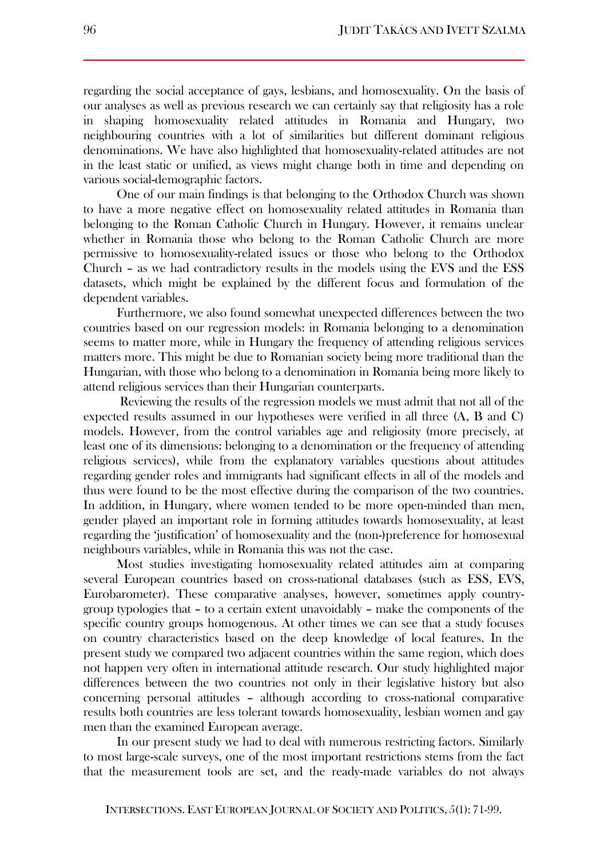regarding the social acceptance of gays, lesbians, and homosexuality. On the basis of our analyses as well as previous research we can certainly say that religiosity has a role in shaping homosexuality related attitudes in Romania and Hungary, two neighbouring countries with a lot of similarities but different dominant religious denominations. We have also highlighted that homosexuality-related attitudes are not in the least static or unified, as views might change both in time and depending on various social-demographic factors.

One of our main findings is that belonging to the Orthodox Church was shown to have a more negative effect on homosexuality related attitudes in Romania than belonging to the Roman Catholic Church in Hungary. However, it remains unclear whether in Romania those who belong to the Roman Catholic Church are more permissive to homosexuality-related issues or those who belong to the Orthodox Church – as we had contradictory results in the models using the EVS and the ESS datasets, which might be explained by the different focus and formulation of the dependent variables.

Furthermore, we also found somewhat unexpected differences between the two countries based on our regression models: in Romania belonging to a denomination seems to matter more, while in Hungary the frequency of attending religious services matters more. This might be due to Romanian society being more traditional than the Hungarian, with those who belong to a denomination in Romania being more likely to attend religious services than their Hungarian counterparts.

Reviewing the results of the regression models we must admit that not all of the expected results assumed in our hypotheses were verified in all three (A, B and C) models. However, from the control variables age and religiosity (more precisely, at least one of its dimensions: belonging to a denomination or the frequency of attending religious services), while from the explanatory variables questions about attitudes regarding gender roles and immigrants had significant effects in all of the models and thus were found to be the most effective during the comparison of the two countries. In addition, in Hungary, where women tended to be more open-minded than men, gender played an important role in forming attitudes towards homosexuality, at least regarding the 'justification' of homosexuality and the (non-)preference for homosexual neighbours variables, while in Romania this was not the case.

Most studies investigating homosexuality related attitudes aim at comparing several European countries based on cross-national databases (such as ESS, EVS, Eurobarometer). These comparative analyses, however, sometimes apply countrygroup typologies that – to a certain extent unavoidably – make the components of the specific country groups homogenous. At other times we can see that a study focuses on country characteristics based on the deep knowledge of local features. In the present study we compared two adjacent countries within the same region, which does not happen very often in international attitude research. Our study highlighted major differences between the two countries not only in their legislative history but also concerning personal attitudes – although according to cross-national comparative results both countries are less tolerant towards homosexuality, lesbian women and gay men than the examined European average.

In our present study we had to deal with numerous restricting factors. Similarly to most large-scale surveys, one of the most important restrictions stems from the fact that the measurement tools are set, and the ready-made variables do not always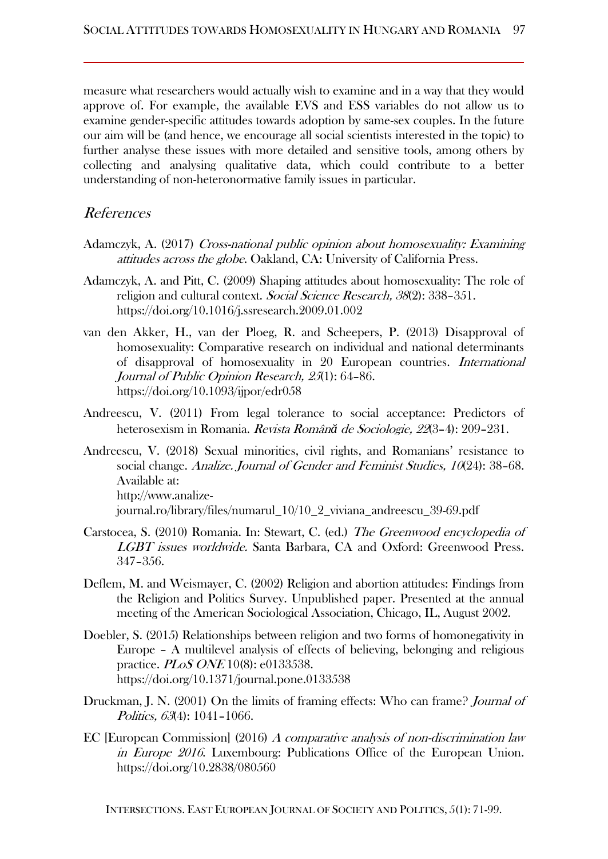measure what researchers would actually wish to examine and in a way that they would approve of. For example, the available EVS and ESS variables do not allow us to examine gender-specific attitudes towards adoption by same-sex couples. In the future our aim will be (and hence, we encourage all social scientists interested in the topic) to further analyse these issues with more detailed and sensitive tools, among others by collecting and analysing qualitative data, which could contribute to a better understanding of non-heteronormative family issues in particular.

## References

- Adamczyk, A. (2017) Cross-national public opinion about homosexuality: Examining attitudes across the globe. Oakland, CA: University of California Press.
- Adamczyk, A. and Pitt, C. (2009) Shaping attitudes about homosexuality: The role of religion and cultural context. Social Science Research, 38(2): 338-351. <https://doi.org/10.1016/j.ssresearch.2009.01.002>
- van den Akker, H., van der Ploeg, R. and Scheepers, P. (2013) Disapproval of homosexuality: Comparative research on individual and national determinants of disapproval of homosexuality in 20 European countries. International Journal of Public Opinion Research, 25(1): 64–86. <https://doi.org/10.1093/ijpor/edr058>
- Andreescu, V. (2011) From legal tolerance to social acceptance: Predictors of heterosexism in Romania. Revista Român*ă* de Sociologie, 22(3–4): 209–231.
- Andreescu, V. (2018) Sexual minorities, civil rights, and Romanians' resistance to social change. Analize. Journal of Gender and Feminist Studies, 10(24): 38-68. Available at: [http://www.analize](http://www.analize-journal.ro/library/files/numarul_10/10_2_viviana_andreescu_39-69.pdf)[journal.ro/library/files/numarul\\_10/10\\_2\\_viviana\\_andreescu\\_39-69.pdf](http://www.analize-journal.ro/library/files/numarul_10/10_2_viviana_andreescu_39-69.pdf)
- Carstocea, S. (2010) Romania. In: Stewart, C. (ed.) The Greenwood encyclopedia of LGBT issues worldwide. Santa Barbara, CA and Oxford: Greenwood Press. 347–356.
- Deflem, M. and Weismayer, C. (2002) Religion and abortion attitudes: Findings from the Religion and Politics Survey. Unpublished paper. Presented at the annual meeting of the American Sociological Association, Chicago, IL, August 2002.
- Doebler, S. (2015) Relationships between religion and two forms of homonegativity in Europe – A multilevel analysis of effects of believing, belonging and religious practice. *PLoS ONE* 10(8): e0133538. https://doi.org/10.1371/journal.pone.0133538
- Druckman, J. N. (2001) On the limits of framing effects: Who can frame? Journal of Politics, 63(4): 1041-1066.
- EC [European Commission] (2016) A comparative analysis of non-discrimination law in Europe 2016. Luxembourg: Publications Office of the European Union. https://doi.org/10.2838/080560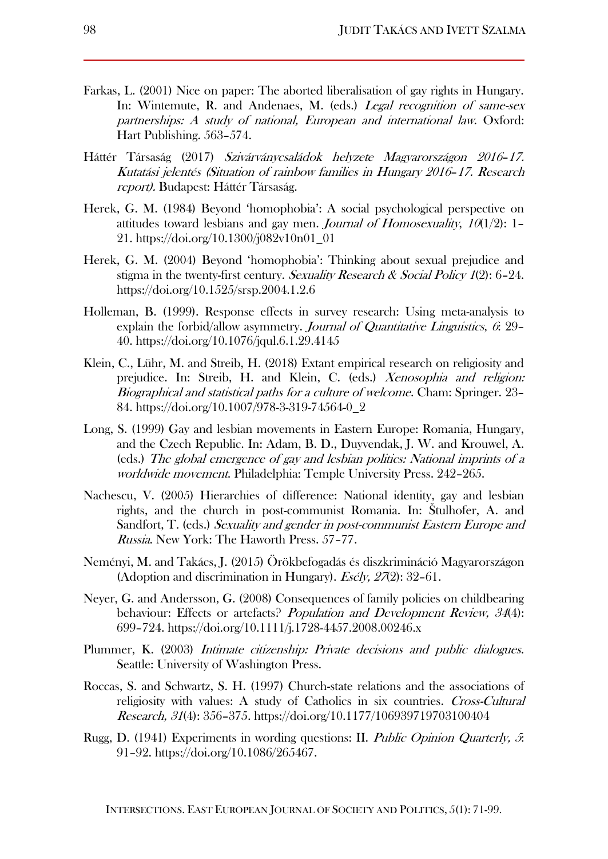- Farkas, L. (2001) Nice on paper: The aborted liberalisation of gay rights in Hungary. In: Wintemute, R. and Andenaes, M. (eds.) Legal recognition of same-sex partnerships: A study of national, European and international law. Oxford: Hart Publishing. 563–574.
- Háttér Társaság (2017) Szivárványcsaládok helyzete Magyarországon 2016–17. Kutatási jelentés (Situation of rainbow families in Hungary 2016–17. Research report). Budapest: Háttér Társaság.
- Herek, G. M. (1984) Beyond 'homophobia': A social psychological perspective on attitudes toward lesbians and gay men. *Journal of Homosexuality*,  $10(1/2)$ : 1– 21. [https://doi.org/10.1300/j082v10n01\\_01](https://doi.org/10.1300/j082v10n01_01)
- Herek, G. M. (2004) Beyond 'homophobia': Thinking about sexual prejudice and stigma in the twenty-first century. Sexuality Research & Social Policy  $I(2)$ : 6–24. https://doi.org/10.1525/srsp.2004.1.2.6
- Holleman, B. (1999). Response effects in survey research: Using meta-analysis to explain the forbid/allow asymmetry. Journal of Quantitative Linguistics,  $6$ : 29– 40. https://doi.org/10.1076/jqul.6.1.29.4145
- Klein, C., Lühr, M. and Streib, H. (2018) Extant empirical research on religiosity and prejudice. In: Streib, H. and Klein, C. (eds.) Xenosophia and religion: Biographical and statistical paths for a culture of welcome. Cham: Springer. 23– 84. https://doi.org/10.1007/978-3-319-74564-0\_2
- Long, S. (1999) Gay and lesbian movements in Eastern Europe: Romania, Hungary, and the Czech Republic. In: Adam, B. D., Duyvendak, J. W. and Krouwel, A. (eds.) The global emergence of gay and lesbian politics: National imprints of a worldwide movement. Philadelphia: Temple University Press. 242–265.
- Nachescu, V. (2005) Hierarchies of difference: National identity, gay and lesbian rights, and the church in post-communist Romania. In: Štulhofer, A. and Sandfort, T. (eds.) Sexuality and gender in post-communist Eastern Europe and Russia. New York: The Haworth Press. 57–77.
- Neményi, M. and Takács, J. (2015) Örökbefogadás és diszkrimináció Magyarországon (Adoption and discrimination in Hungary). *Esély*,  $27(2)$ : 32-61.
- Neyer, G. and Andersson, G. (2008) Consequences of family policies on childbearing behaviour: Effects or artefacts? *Population and Development Review, 34*(4): 699–724.<https://doi.org/10.1111/j.1728-4457.2008.00246.x>
- Plummer, K. (2003) Intimate citizenship: Private decisions and public dialogues. Seattle: University of Washington Press.
- Roccas, S. and Schwartz, S. H. (1997) Church-state relations and the associations of religiosity with values: A study of Catholics in six countries. Cross-Cultural Research, 31(4): 356–375. [https://doi.org/10.1177/106939719703100404](https://doi.org/10.1177%2F106939719703100404)
- Rugg, D. (1941) Experiments in wording questions: II. Public Opinion Quarterly, 5: 91–92. https://doi.org/10.1086/265467.